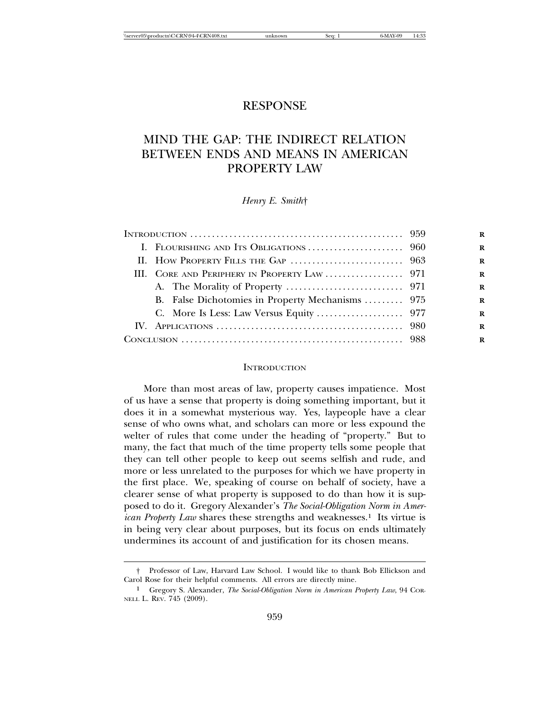## RESPONSE

# MIND THE GAP: THE INDIRECT RELATION BETWEEN ENDS AND MEANS IN AMERICAN PROPERTY LAW

*Henry E. Smith*†

| INTRODUCTION $\ldots \ldots \ldots \ldots \ldots \ldots \ldots \ldots \ldots \ldots \ldots \ldots \ldots \qquad 959$<br>B. False Dichotomies in Property Mechanisms  975 |
|--------------------------------------------------------------------------------------------------------------------------------------------------------------------------|

#### **INTRODUCTION**

More than most areas of law, property causes impatience. Most of us have a sense that property is doing something important, but it does it in a somewhat mysterious way. Yes, laypeople have a clear sense of who owns what, and scholars can more or less expound the welter of rules that come under the heading of "property." But to many, the fact that much of the time property tells some people that they can tell other people to keep out seems selfish and rude, and more or less unrelated to the purposes for which we have property in the first place. We, speaking of course on behalf of society, have a clearer sense of what property is supposed to do than how it is supposed to do it. Gregory Alexander's *The Social-Obligation Norm in American Property Law* shares these strengths and weaknesses.<sup>1</sup> Its virtue is in being very clear about purposes, but its focus on ends ultimately undermines its account of and justification for its chosen means.

<sup>†</sup> Professor of Law, Harvard Law School. I would like to thank Bob Ellickson and Carol Rose for their helpful comments. All errors are directly mine.

<sup>1</sup> Gregory S. Alexander, *The Social-Obligation Norm in American Property Law*, 94 COR-NELL L. REV. 745 (2009).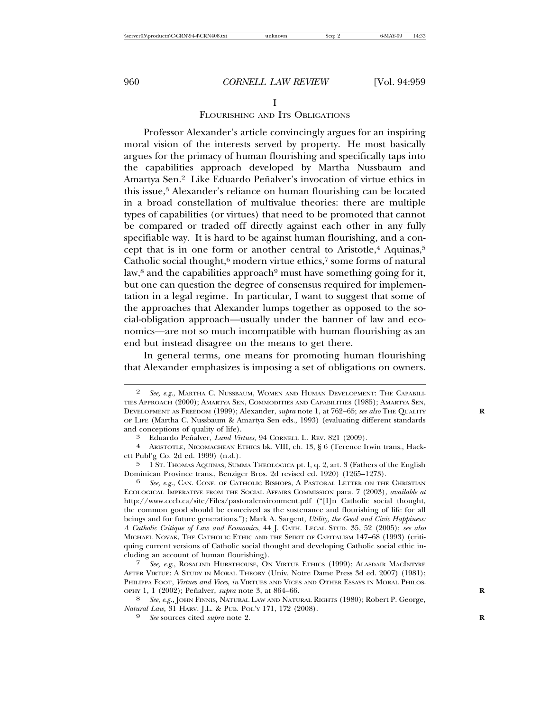## FLOURISHING AND ITS OBLIGATIONS

Professor Alexander's article convincingly argues for an inspiring moral vision of the interests served by property. He most basically argues for the primacy of human flourishing and specifically taps into the capabilities approach developed by Martha Nussbaum and Amartya Sen.<sup>2</sup> Like Eduardo Peñalver's invocation of virtue ethics in this issue,<sup>3</sup> Alexander's reliance on human flourishing can be located in a broad constellation of multivalue theories: there are multiple types of capabilities (or virtues) that need to be promoted that cannot be compared or traded off directly against each other in any fully specifiable way. It is hard to be against human flourishing, and a concept that is in one form or another central to Aristotle, $4$  Aquinas, $5$ Catholic social thought, $6 \text{ modern virtue ethics}, 7 \text{ some forms of natural}$ law, $8$  and the capabilities approach $9$  must have something going for it, but one can question the degree of consensus required for implementation in a legal regime. In particular, I want to suggest that some of the approaches that Alexander lumps together as opposed to the social-obligation approach—usually under the banner of law and economics—are not so much incompatible with human flourishing as an end but instead disagree on the means to get there.

In general terms, one means for promoting human flourishing that Alexander emphasizes is imposing a set of obligations on owners.

<sup>2</sup> *See, e.g.*, MARTHA C. NUSSBAUM, WOMEN AND HUMAN DEVELOPMENT: THE CAPABILI-TIES APPROACH (2000); AMARTYA SEN, COMMODITIES AND CAPABILITIES (1985); AMARTYA SEN, DEVELOPMENT AS FREEDOM (1999); Alexander, *supra* note 1, at 762–65; *see also* THE QUALITY **R** OF LIFE (Martha C. Nussbaum & Amartya Sen eds., 1993) (evaluating different standards

and conceptions of quality of life). <sup>3</sup> Eduardo Penalver, ˜ *Land Virtues*, 94 CORNELL L. REV. 821 (2009). <sup>4</sup> ARISTOTLE, NICOMACHEAN ETHICS bk. VIII, ch. 13, § 6 (Terence Irwin trans., Hackett Publ'g Co. 2d ed. 1999) (n.d.).

<sup>&</sup>lt;sup>5</sup> 1 ST. THOMAS AQUINAS, SUMMA THEOLOGICA pt. I, q. 2, art. 3 (Fathers of the English Dominican Province trans., Benziger Bros. 2d revised ed. 1920) (1265–1273).

See, e.g., CAN. CONF. OF CATHOLIC BISHOPS, A PASTORAL LETTER ON THE CHRISTIAN ECOLOGICAL IMPERATIVE FROM THE SOCIAL AFFAIRS COMMISSION para. 7 (2003), *available at* http://www.cccb.ca/site/Files/pastoralenvironment.pdf ("[I]n Catholic social thought, the common good should be conceived as the sustenance and flourishing of life for all beings and for future generations."); Mark A. Sargent, *Utility, the Good and Civic Happiness: A Catholic Critique of Law and Economics*, 44 J. CATH. LEGAL STUD. 35, 52 (2005); *see also* MICHAEL NOVAK, THE CATHOLIC ETHIC AND THE SPIRIT OF CAPITALISM 147–68 (1993) (critiquing current versions of Catholic social thought and developing Catholic social ethic including an account of human flourishing).

<sup>7</sup> *See, e.g.*, ROSALIND HURSTHOUSE, ON VIRTUE ETHICS (1999); ALASDAIR MACINTYRE AFTER VIRTUE: A STUDY IN MORAL THEORY (Univ. Notre Dame Press 3d ed. 2007) (1981); PHILIPPA FOOT, *Virtues and Vices, in* VIRTUES AND VICES AND OTHER ESSAYS IN MORAL PHILOS-OPHY 1, 1 (2002); Peñalver, *supra* note 3, at 864–66.

<sup>8</sup> *See, e.g.*, JOHN FINNIS, NATURAL LAW AND NATURAL RIGHTS (1980); Robert P. George, *Natural Law*, 31 HARV. J.L. & PUB. POL'Y 171, 172 (2008). <sup>9</sup> *See* sources cited *supra* note 2. **<sup>R</sup>**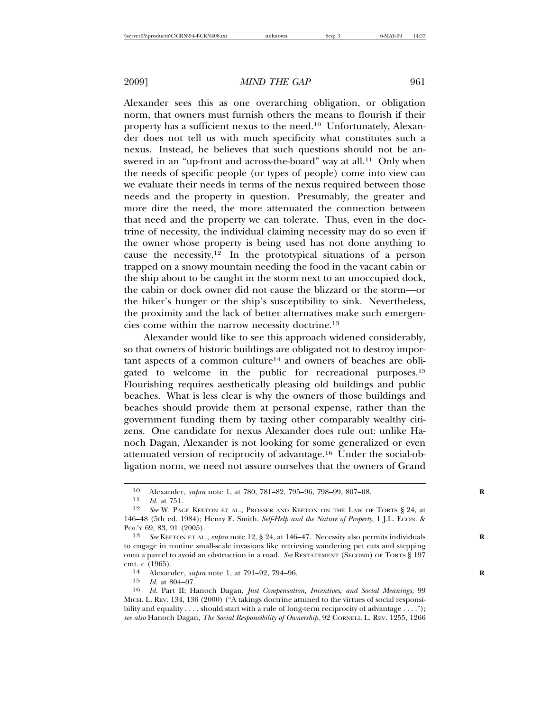Alexander sees this as one overarching obligation, or obligation norm, that owners must furnish others the means to flourish if their property has a sufficient nexus to the need.10 Unfortunately, Alexander does not tell us with much specificity what constitutes such a nexus. Instead, he believes that such questions should not be answered in an "up-front and across-the-board" way at all.11 Only when the needs of specific people (or types of people) come into view can we evaluate their needs in terms of the nexus required between those needs and the property in question. Presumably, the greater and more dire the need, the more attenuated the connection between that need and the property we can tolerate. Thus, even in the doctrine of necessity, the individual claiming necessity may do so even if the owner whose property is being used has not done anything to cause the necessity.<sup>12</sup> In the prototypical situations of a person trapped on a snowy mountain needing the food in the vacant cabin or the ship about to be caught in the storm next to an unoccupied dock, the cabin or dock owner did not cause the blizzard or the storm—or the hiker's hunger or the ship's susceptibility to sink. Nevertheless, the proximity and the lack of better alternatives make such emergencies come within the narrow necessity doctrine.13

Alexander would like to see this approach widened considerably, so that owners of historic buildings are obligated not to destroy important aspects of a common culture14 and owners of beaches are obligated to welcome in the public for recreational purposes.<sup>15</sup> Flourishing requires aesthetically pleasing old buildings and public beaches. What is less clear is why the owners of those buildings and beaches should provide them at personal expense, rather than the government funding them by taxing other comparably wealthy citizens. One candidate for nexus Alexander does rule out: unlike Hanoch Dagan, Alexander is not looking for some generalized or even attenuated version of reciprocity of advantage.16 Under the social-obligation norm, we need not assure ourselves that the owners of Grand

<sup>10</sup> Alexander, *supra* note 1, at 780, 781–82, 795–96, 798–99, 807–08.<br>
11 *Id* at 751

<sup>11</sup> *Id.* at 751.<br>12 *See W* PAC

See W. PAGE KEETON ET AL., PROSSER AND KEETON ON THE LAW OF TORTS § 24, at 146–48 (5th ed. 1984); Henry E. Smith, *Self-Help and the Nature of Property*, 1 J.L. ECON. & POL'Y 69, 83, 91 (2005).

<sup>13</sup> *See* KEETON ET AL., *supra* note 12, § 24, at 146–47. Necessity also permits individuals **R** to engage in routine small-scale invasions like retrieving wandering pet cats and stepping onto a parcel to avoid an obstruction in a road. *See* RESTATEMENT (SECOND) OF TORTS § 197 cmt. c (1965). <sup>14</sup> Alexander, *supra* note 1, at 791–92, 794–96. **<sup>R</sup>**

<sup>15</sup> *Id.* at 804–07.

<sup>16</sup> *Id.* Part II; Hanoch Dagan, *Just Compensation, Incentives, and Social Meanings*, 99 MICH. L. REV. 134, 136 (2000) ("A takings doctrine attuned to the virtues of social responsibility and equality . . . . should start with a rule of long-term reciprocity of advantage . . . ."); *see also* Hanoch Dagan, *The Social Responsibility of Ownership*, 92 CORNELL L. REV. 1255, 1266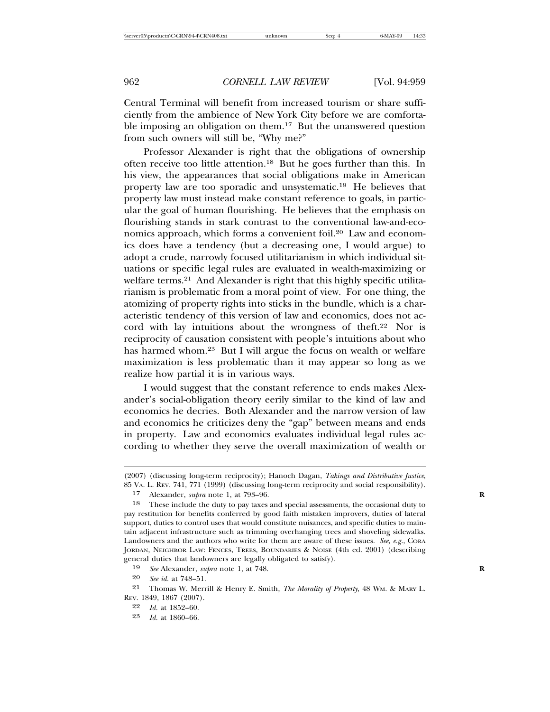Central Terminal will benefit from increased tourism or share sufficiently from the ambience of New York City before we are comfortable imposing an obligation on them.17 But the unanswered question from such owners will still be, "Why me?"

Professor Alexander is right that the obligations of ownership often receive too little attention.18 But he goes further than this. In his view, the appearances that social obligations make in American property law are too sporadic and unsystematic.19 He believes that property law must instead make constant reference to goals, in particular the goal of human flourishing. He believes that the emphasis on flourishing stands in stark contrast to the conventional law-and-economics approach, which forms a convenient foil.20 Law and economics does have a tendency (but a decreasing one, I would argue) to adopt a crude, narrowly focused utilitarianism in which individual situations or specific legal rules are evaluated in wealth-maximizing or welfare terms.<sup>21</sup> And Alexander is right that this highly specific utilitarianism is problematic from a moral point of view. For one thing, the atomizing of property rights into sticks in the bundle, which is a characteristic tendency of this version of law and economics, does not accord with lay intuitions about the wrongness of theft.22 Nor is reciprocity of causation consistent with people's intuitions about who has harmed whom.<sup>23</sup> But I will argue the focus on wealth or welfare maximization is less problematic than it may appear so long as we realize how partial it is in various ways.

I would suggest that the constant reference to ends makes Alexander's social-obligation theory eerily similar to the kind of law and economics he decries. Both Alexander and the narrow version of law and economics he criticizes deny the "gap" between means and ends in property. Law and economics evaluates individual legal rules according to whether they serve the overall maximization of wealth or

19 *See* Alexander, *supra* note 1, at 748. **R**

23 *Id.* at 1860–66.

<sup>(2007) (</sup>discussing long-term reciprocity); Hanoch Dagan, *Takings and Distributive Justice*, 85 VA. L. REV. 741, 771 (1999) (discussing long-term reciprocity and social responsibility).

<sup>17</sup> Alexander, *supra* note 1, at 793–96. **R**

<sup>18</sup> These include the duty to pay taxes and special assessments, the occasional duty to pay restitution for benefits conferred by good faith mistaken improvers, duties of lateral support, duties to control uses that would constitute nuisances, and specific duties to maintain adjacent infrastructure such as trimming overhanging trees and shoveling sidewalks. Landowners and the authors who write for them are aware of these issues. *See, e.g.*, CORA JORDAN, NEIGHBOR LAW: FENCES, TREES, BOUNDARIES & NOISE (4th ed. 2001) (describing general duties that landowners are legally obligated to satisfy).

<sup>20</sup> *See id.* at 748–51.

<sup>21</sup> Thomas W. Merrill & Henry E. Smith, *The Morality of Property*, 48 WM. & MARY L. REV. 1849, 1867 (2007).

<sup>22</sup> *Id.* at 1852–60.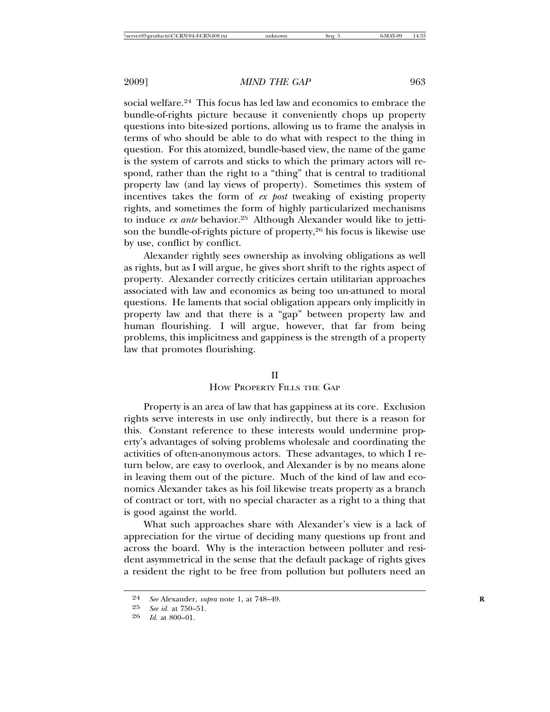social welfare.24 This focus has led law and economics to embrace the bundle-of-rights picture because it conveniently chops up property questions into bite-sized portions, allowing us to frame the analysis in terms of who should be able to do what with respect to the thing in question. For this atomized, bundle-based view, the name of the game is the system of carrots and sticks to which the primary actors will respond, rather than the right to a "thing" that is central to traditional property law (and lay views of property). Sometimes this system of incentives takes the form of *ex post* tweaking of existing property rights, and sometimes the form of highly particularized mechanisms to induce *ex ante* behavior.25 Although Alexander would like to jettison the bundle-of-rights picture of property,26 his focus is likewise use by use, conflict by conflict.

Alexander rightly sees ownership as involving obligations as well as rights, but as I will argue, he gives short shrift to the rights aspect of property. Alexander correctly criticizes certain utilitarian approaches associated with law and economics as being too un-attuned to moral questions. He laments that social obligation appears only implicitly in property law and that there is a "gap" between property law and human flourishing. I will argue, however, that far from being problems, this implicitness and gappiness is the strength of a property law that promotes flourishing.

#### II

## HOW PROPERTY FILLS THE GAP

Property is an area of law that has gappiness at its core. Exclusion rights serve interests in use only indirectly, but there is a reason for this. Constant reference to these interests would undermine property's advantages of solving problems wholesale and coordinating the activities of often-anonymous actors. These advantages, to which I return below, are easy to overlook, and Alexander is by no means alone in leaving them out of the picture. Much of the kind of law and economics Alexander takes as his foil likewise treats property as a branch of contract or tort, with no special character as a right to a thing that is good against the world.

What such approaches share with Alexander's view is a lack of appreciation for the virtue of deciding many questions up front and across the board. Why is the interaction between polluter and resident asymmetrical in the sense that the default package of rights gives a resident the right to be free from pollution but polluters need an

<sup>24</sup> *See* Alexander, *supra* note 1, at 748–49. **R**

<sup>25</sup> *See id.* at 750–51.

<sup>26</sup> *Id.* at 800–01.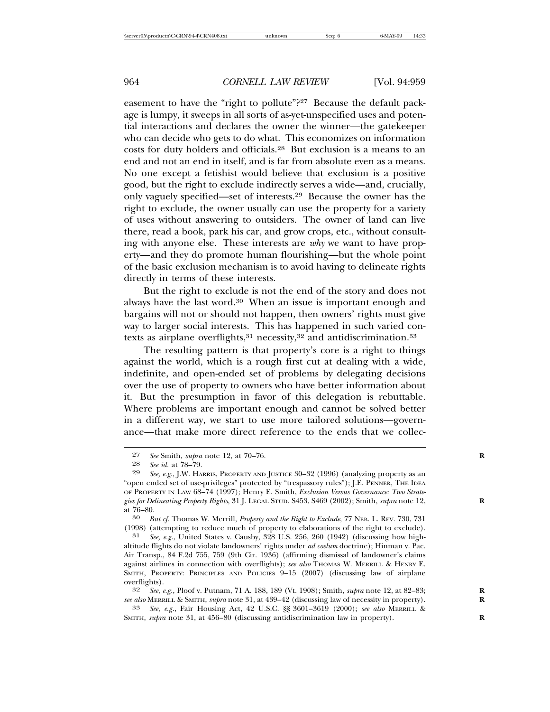easement to have the "right to pollute"?27 Because the default package is lumpy, it sweeps in all sorts of as-yet-unspecified uses and potential interactions and declares the owner the winner—the gatekeeper who can decide who gets to do what. This economizes on information costs for duty holders and officials.28 But exclusion is a means to an end and not an end in itself, and is far from absolute even as a means. No one except a fetishist would believe that exclusion is a positive good, but the right to exclude indirectly serves a wide—and, crucially, only vaguely specified—set of interests.29 Because the owner has the right to exclude, the owner usually can use the property for a variety of uses without answering to outsiders. The owner of land can live there, read a book, park his car, and grow crops, etc., without consulting with anyone else. These interests are *why* we want to have property—and they do promote human flourishing—but the whole point of the basic exclusion mechanism is to avoid having to delineate rights directly in terms of these interests.

But the right to exclude is not the end of the story and does not always have the last word.30 When an issue is important enough and bargains will not or should not happen, then owners' rights must give way to larger social interests. This has happened in such varied contexts as airplane overflights,  $31$  necessity,  $32$  and antidiscrimination.  $33$ 

The resulting pattern is that property's core is a right to things against the world, which is a rough first cut at dealing with a wide, indefinite, and open-ended set of problems by delegating decisions over the use of property to owners who have better information about it. But the presumption in favor of this delegation is rebuttable. Where problems are important enough and cannot be solved better in a different way, we start to use more tailored solutions—governance—that make more direct reference to the ends that we collec-

at 76–80. <sup>30</sup> *But cf.* Thomas W. Merrill, *Property and the Right to Exclude*, 77 NEB. L. REV. 730, 731 (1998) (attempting to reduce much of property to elaborations of the right to exclude).

See, e.g., United States v. Causby, 328 U.S. 256, 260 (1942) (discussing how highaltitude flights do not violate landowners' rights under *ad coelum* doctrine); Hinman v. Pac. Air Transp., 84 F.2d 755, 759 (9th Cir. 1936) (affirming dismissal of landowner's claims against airlines in connection with overflights); *see also* THOMAS W. MERRILL & HENRY E. SMITH, PROPERTY: PRINCIPLES AND POLICIES 9–15 (2007) (discussing law of airplane overflights).<br> $32 \text{ See } 6$ 

32 *See, e.g.*, Ploof v. Putnam, 71 A. 188, 189 (Vt. 1908); Smith, *supra* note 12, at 82–83; **R** *see also* MERRILL & SMITH, *supra* note 31, at 439–42 (discussing law of necessity in property). **R**

33 *See, e.g.*, Fair Housing Act, 42 U.S.C. §§ 3601–3619 (2000); *see also* MERRILL & SMITH, *supra* note 31, at 456–80 (discussing antidiscrimination law in property).

<sup>27</sup> *See* Smith, *supra* note 12, at 70–76. **R**

<sup>28</sup> *See id.* at 78–79.

See, e.g., J.W. HARRIS, PROPERTY AND JUSTICE 30-32 (1996) (analyzing property as an "open ended set of use-privileges" protected by "trespassory rules"); J.E. PENNER, THE IDEA OF PROPERTY IN LAW 68–74 (1997); Henry E. Smith, *Exclusion Versus Governance: Two Strategies for Delineating Property Rights*, 31 J. LEGAL STUD. S453, S469 (2002); Smith, *supra* note 12, **R**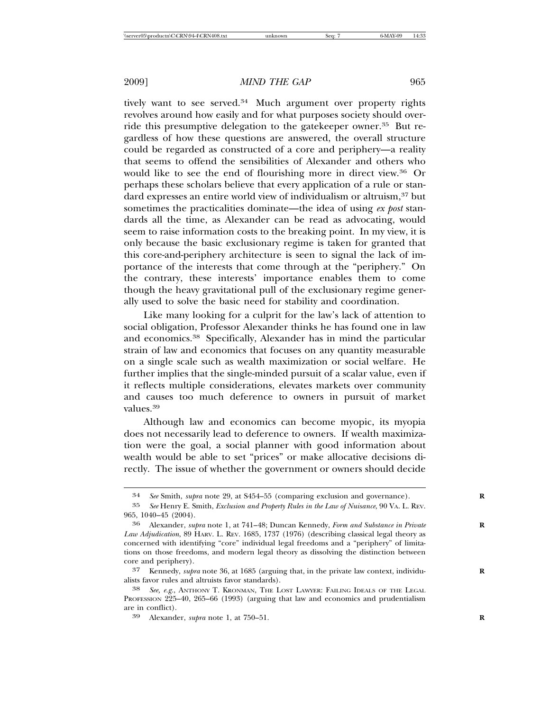tively want to see served.<sup>34</sup> Much argument over property rights revolves around how easily and for what purposes society should override this presumptive delegation to the gatekeeper owner.35 But regardless of how these questions are answered, the overall structure could be regarded as constructed of a core and periphery—a reality that seems to offend the sensibilities of Alexander and others who would like to see the end of flourishing more in direct view.36 Or perhaps these scholars believe that every application of a rule or standard expresses an entire world view of individualism or altruism,<sup>37</sup> but sometimes the practicalities dominate—the idea of using *ex post* standards all the time, as Alexander can be read as advocating, would seem to raise information costs to the breaking point. In my view, it is only because the basic exclusionary regime is taken for granted that this core-and-periphery architecture is seen to signal the lack of importance of the interests that come through at the "periphery." On the contrary, these interests' importance enables them to come though the heavy gravitational pull of the exclusionary regime generally used to solve the basic need for stability and coordination.

Like many looking for a culprit for the law's lack of attention to social obligation, Professor Alexander thinks he has found one in law and economics.38 Specifically, Alexander has in mind the particular strain of law and economics that focuses on any quantity measurable on a single scale such as wealth maximization or social welfare. He further implies that the single-minded pursuit of a scalar value, even if it reflects multiple considerations, elevates markets over community and causes too much deference to owners in pursuit of market values.39

Although law and economics can become myopic, its myopia does not necessarily lead to deference to owners. If wealth maximization were the goal, a social planner with good information about wealth would be able to set "prices" or make allocative decisions directly. The issue of whether the government or owners should decide

<sup>34</sup> *See* Smith, *supra* note 29, at S454–55 (comparing exclusion and governance). **R**

<sup>35</sup> *See* Henry E. Smith, *Exclusion and Property Rules in the Law of Nuisance*, 90 VA. L. REV. 965, 1040–45 (2004).

<sup>36</sup> Alexander, *supra* note 1, at 741–48; Duncan Kennedy, *Form and Substance in Private* **R** *Law Adjudication*, 89 HARV. L. REV. 1685, 1737 (1976) (describing classical legal theory as concerned with identifying "core" individual legal freedoms and a "periphery" of limitations on those freedoms, and modern legal theory as dissolving the distinction between core and periphery).

<sup>37</sup> Kennedy, *supra* note 36, at 1685 (arguing that, in the private law context, individu- **R** alists favor rules and altruists favor standards).

<sup>38</sup> *See, e.g.*, ANTHONY T. KRONMAN, THE LOST LAWYER: FAILING IDEALS OF THE LEGAL PROFESSION 225–40, 265–66 (1993) (arguing that law and economics and prudentialism are in conflict).

<sup>39</sup> Alexander, *supra* note 1, at 750–51. **R**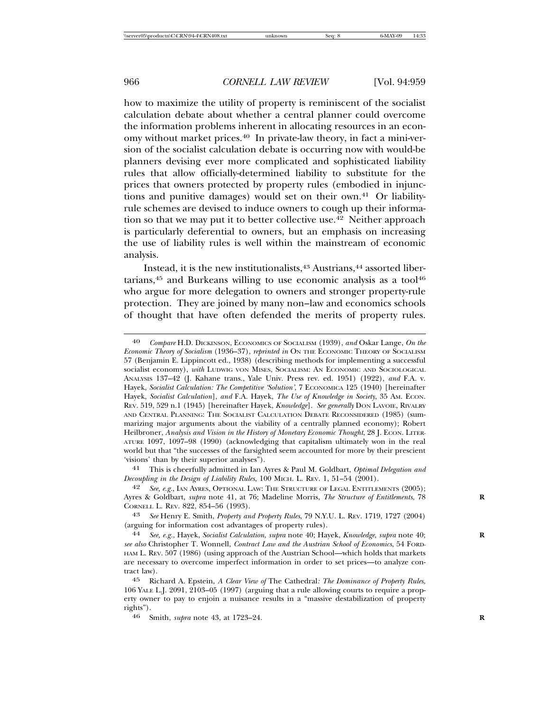how to maximize the utility of property is reminiscent of the socialist calculation debate about whether a central planner could overcome the information problems inherent in allocating resources in an economy without market prices.40 In private-law theory, in fact a mini-version of the socialist calculation debate is occurring now with would-be planners devising ever more complicated and sophisticated liability rules that allow officially-determined liability to substitute for the prices that owners protected by property rules (embodied in injunctions and punitive damages) would set on their own.41 Or liabilityrule schemes are devised to induce owners to cough up their information so that we may put it to better collective use.<sup>42</sup> Neither approach is particularly deferential to owners, but an emphasis on increasing the use of liability rules is well within the mainstream of economic analysis.

Instead, it is the new institutionalists,<sup>43</sup> Austrians,<sup>44</sup> assorted libertarians, $45$  and Burkeans willing to use economic analysis as a tool $46$ who argue for more delegation to owners and stronger property-rule protection. They are joined by many non–law and economics schools of thought that have often defended the merits of property rules.

<sup>40</sup> *Compare* H.D. DICKINSON, ECONOMICS OF SOCIALISM (1939), *and* Oskar Lange, *On the Economic Theory of Socialism* (1936–37), *reprinted in* ON THE ECONOMIC THEORY OF SOCIALISM 57 (Benjamin E. Lippincott ed., 1938) (describing methods for implementing a successful socialist economy), *with* LUDWIG VON MISES, SOCIALISM: AN ECONOMIC AND SOCIOLOGICAL ANALYSIS 137–42 (J. Kahane trans., Yale Univ. Press rev. ed. 1951) (1922), *and* F.A. v. Hayek, *Socialist Calculation: The Competitive 'Solution'*, 7 ECONOMICA 125 (1940) [hereinafter Hayek, *Socialist Calculation*], *and* F.A. Hayek, *The Use of Knowledge in Society*, 35 AM. ECON. REV. 519, 529 n.1 (1945) [hereinafter Hayek, *Knowledge*]. *See generally* DON LAVOIE, RIVALRY AND CENTRAL PLANNING: THE SOCIALIST CALCULATION DEBATE RECONSIDERED (1985) (summarizing major arguments about the viability of a centrally planned economy); Robert Heilbroner, *Analysis and Vision in the History of Monetary Economic Thought*, 28 J. ECON. LITER-ATURE 1097, 1097–98 (1990) (acknowledging that capitalism ultimately won in the real world but that "the successes of the farsighted seem accounted for more by their prescient 'visions' than by their superior analyses").

<sup>41</sup> This is cheerfully admitted in Ian Ayres & Paul M. Goldbart, *Optimal Delegation and Decoupling in the Design of Liability Rules*, 100 MICH. L. REV. 1, 51–54 (2001).

See, e.g., IAN AYRES, OPTIONAL LAW: THE STRUCTURE OF LEGAL ENTITLEMENTS (2005); Ayres & Goldbart, *supra* note 41, at 76; Madeline Morris, *The Structure of Entitlements*, 78 CORNELL L. REV. 822, 854–56 (1993).

<sup>43</sup> *See* Henry E. Smith, *Property and Property Rules*, 79 N.Y.U. L. REV. 1719, 1727 (2004) (arguing for information cost advantages of property rules).

<sup>44</sup> *See, e.g.*, Hayek, *Socialist Calculation*, *supra* note 40; Hayek, *Knowledge*, *supra* note 40; **R** *see also* Christopher T. Wonnell, *Contract Law and the Austrian School of Economics*, 54 FORD-HAM L. REV. 507 (1986) (using approach of the Austrian School—which holds that markets are necessary to overcome imperfect information in order to set prices—to analyze contract law).

<sup>45</sup> Richard A. Epstein, *A Clear View of* The Cathedral*: The Dominance of Property Rules*, 106 YALE L.J. 2091, 2103–05 (1997) (arguing that a rule allowing courts to require a property owner to pay to enjoin a nuisance results in a "massive destabilization of property rights").

<sup>46</sup> Smith, *supra* note 43, at 1723–24. **R**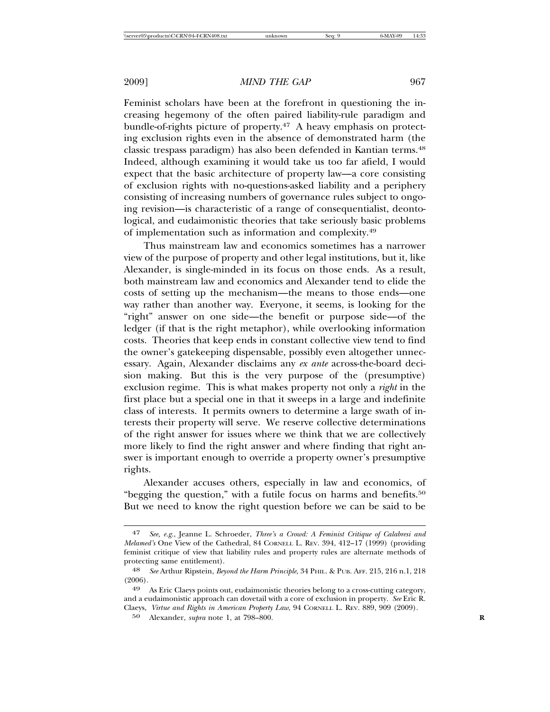Feminist scholars have been at the forefront in questioning the increasing hegemony of the often paired liability-rule paradigm and bundle-of-rights picture of property.47 A heavy emphasis on protecting exclusion rights even in the absence of demonstrated harm (the classic trespass paradigm) has also been defended in Kantian terms.48 Indeed, although examining it would take us too far afield, I would expect that the basic architecture of property law—a core consisting of exclusion rights with no-questions-asked liability and a periphery consisting of increasing numbers of governance rules subject to ongoing revision—is characteristic of a range of consequentialist, deontological, and eudaimonistic theories that take seriously basic problems of implementation such as information and complexity.49

Thus mainstream law and economics sometimes has a narrower view of the purpose of property and other legal institutions, but it, like Alexander, is single-minded in its focus on those ends. As a result, both mainstream law and economics and Alexander tend to elide the costs of setting up the mechanism—the means to those ends—one way rather than another way. Everyone, it seems, is looking for the "right" answer on one side—the benefit or purpose side—of the ledger (if that is the right metaphor), while overlooking information costs. Theories that keep ends in constant collective view tend to find the owner's gatekeeping dispensable, possibly even altogether unnecessary. Again, Alexander disclaims any *ex ante* across-the-board decision making. But this is the very purpose of the (presumptive) exclusion regime. This is what makes property not only a *right* in the first place but a special one in that it sweeps in a large and indefinite class of interests. It permits owners to determine a large swath of interests their property will serve. We reserve collective determinations of the right answer for issues where we think that we are collectively more likely to find the right answer and where finding that right answer is important enough to override a property owner's presumptive rights.

Alexander accuses others, especially in law and economics, of "begging the question," with a futile focus on harms and benefits.<sup>50</sup> But we need to know the right question before we can be said to be

<sup>47</sup> *See, e.g.*, Jeanne L. Schroeder, *Three's a Crowd: A Feminist Critique of Calabresi and Melamed's* One View of the Cathedral, 84 CORNELL L. REV. 394, 412–17 (1999) (providing feminist critique of view that liability rules and property rules are alternate methods of protecting same entitlement).

<sup>48</sup> *See* Arthur Ripstein, *Beyond the Harm Principle*, 34 PHIL. & PUB. AFF. 215, 216 n.1, 218 (2006).

<sup>49</sup> As Eric Claeys points out, eudaimonistic theories belong to a cross-cutting category, and a eudaimonistic approach can dovetail with a core of exclusion in property. *See* Eric R. Claeys, *Virtue and Rights in American Property Law*, 94 CORNELL L. REV. 889, 909 (2009).

<sup>50</sup> Alexander, *supra* note 1, at 798–800. **R**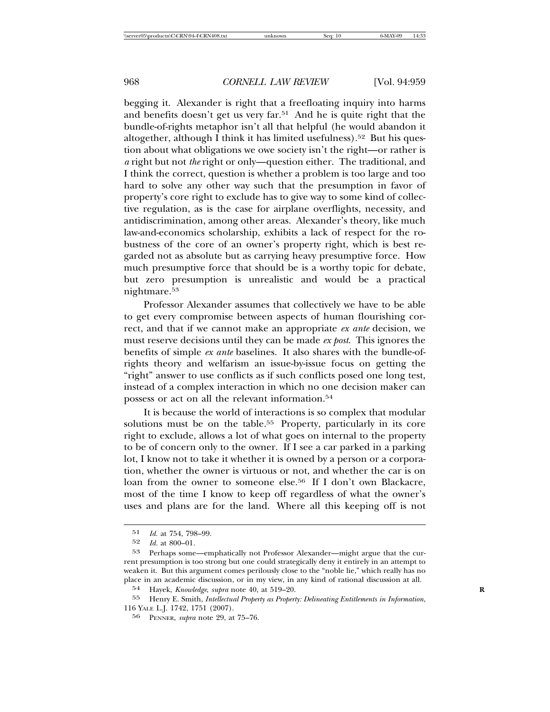begging it. Alexander is right that a freefloating inquiry into harms and benefits doesn't get us very far.<sup>51</sup> And he is quite right that the bundle-of-rights metaphor isn't all that helpful (he would abandon it altogether, although I think it has limited usefulness).<sup>52</sup> But his question about what obligations we owe society isn't the right—or rather is *a* right but not *the* right or only—question either. The traditional, and I think the correct, question is whether a problem is too large and too hard to solve any other way such that the presumption in favor of property's core right to exclude has to give way to some kind of collective regulation, as is the case for airplane overflights, necessity, and antidiscrimination, among other areas. Alexander's theory, like much law-and-economics scholarship, exhibits a lack of respect for the robustness of the core of an owner's property right, which is best regarded not as absolute but as carrying heavy presumptive force. How much presumptive force that should be is a worthy topic for debate, but zero presumption is unrealistic and would be a practical nightmare.53

Professor Alexander assumes that collectively we have to be able to get every compromise between aspects of human flourishing correct, and that if we cannot make an appropriate *ex ante* decision, we must reserve decisions until they can be made *ex post*. This ignores the benefits of simple *ex ante* baselines. It also shares with the bundle-ofrights theory and welfarism an issue-by-issue focus on getting the "right" answer to use conflicts as if such conflicts posed one long test, instead of a complex interaction in which no one decision maker can possess or act on all the relevant information.54

It is because the world of interactions is so complex that modular solutions must be on the table.<sup>55</sup> Property, particularly in its core right to exclude, allows a lot of what goes on internal to the property to be of concern only to the owner. If I see a car parked in a parking lot, I know not to take it whether it is owned by a person or a corporation, whether the owner is virtuous or not, and whether the car is on loan from the owner to someone else.<sup>56</sup> If I don't own Blackacre, most of the time I know to keep off regardless of what the owner's uses and plans are for the land. Where all this keeping off is not

<sup>51</sup> *Id.* at 754, 798–99.

*Id.* at 800–01.

<sup>53</sup> Perhaps some—emphatically not Professor Alexander—might argue that the current presumption is too strong but one could strategically deny it entirely in an attempt to weaken it. But this argument comes perilously close to the "noble lie," which really has no place in an academic discussion, or in my view, in any kind of rational discussion at all.

<sup>54</sup> Hayek, *Knowledge*, *supra* note 40, at 519–20. **R**

<sup>55</sup> Henry E. Smith, *Intellectual Property as Property: Delineating Entitlements in Information*, 116 YALE L.J. 1742, 1751 (2007).

<sup>56</sup> PENNER, *supra* note 29, at 75–76.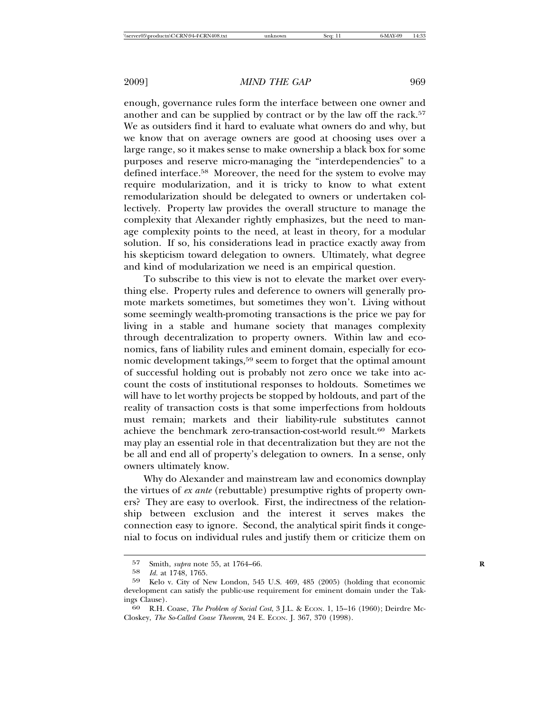enough, governance rules form the interface between one owner and another and can be supplied by contract or by the law off the rack.<sup>57</sup> We as outsiders find it hard to evaluate what owners do and why, but we know that on average owners are good at choosing uses over a large range, so it makes sense to make ownership a black box for some purposes and reserve micro-managing the "interdependencies" to a defined interface.<sup>58</sup> Moreover, the need for the system to evolve may require modularization, and it is tricky to know to what extent remodularization should be delegated to owners or undertaken collectively. Property law provides the overall structure to manage the complexity that Alexander rightly emphasizes, but the need to manage complexity points to the need, at least in theory, for a modular solution. If so, his considerations lead in practice exactly away from his skepticism toward delegation to owners. Ultimately, what degree and kind of modularization we need is an empirical question.

To subscribe to this view is not to elevate the market over everything else. Property rules and deference to owners will generally promote markets sometimes, but sometimes they won't. Living without some seemingly wealth-promoting transactions is the price we pay for living in a stable and humane society that manages complexity through decentralization to property owners. Within law and economics, fans of liability rules and eminent domain, especially for economic development takings,59 seem to forget that the optimal amount of successful holding out is probably not zero once we take into account the costs of institutional responses to holdouts. Sometimes we will have to let worthy projects be stopped by holdouts, and part of the reality of transaction costs is that some imperfections from holdouts must remain; markets and their liability-rule substitutes cannot achieve the benchmark zero-transaction-cost-world result.<sup>60</sup> Markets may play an essential role in that decentralization but they are not the be all and end all of property's delegation to owners. In a sense, only owners ultimately know.

Why do Alexander and mainstream law and economics downplay the virtues of *ex ante* (rebuttable) presumptive rights of property owners? They are easy to overlook. First, the indirectness of the relationship between exclusion and the interest it serves makes the connection easy to ignore. Second, the analytical spirit finds it congenial to focus on individual rules and justify them or criticize them on

<sup>57</sup> Smith, *supra* note 55, at 1764–66.<br>58 *M* at 1748 1765

Id. at 1748, 1765.

<sup>59</sup> Kelo v. City of New London, 545 U.S. 469, 485 (2005) (holding that economic development can satisfy the public-use requirement for eminent domain under the Tak-

ings Clause). <sup>60</sup> R.H. Coase, *The Problem of Social Cost*, 3 J.L. & ECON. 1, 15–16 (1960); Deirdre Mc-Closkey, *The So-Called Coase Theorem*, 24 E. ECON. J. 367, 370 (1998).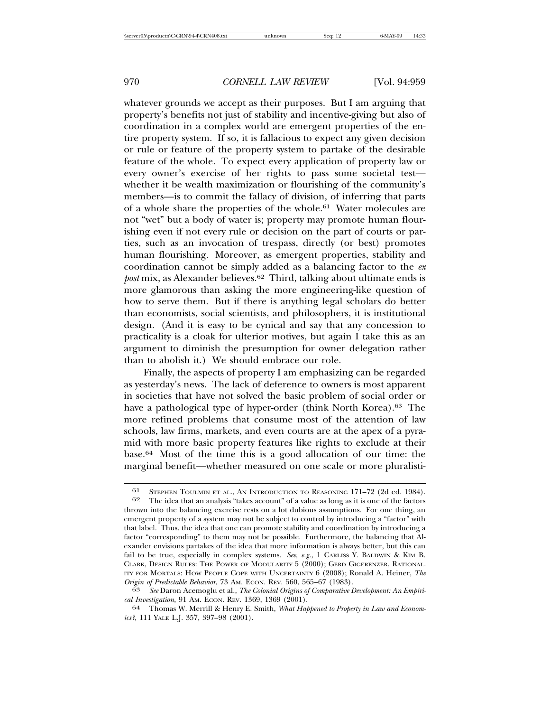whatever grounds we accept as their purposes. But I am arguing that property's benefits not just of stability and incentive-giving but also of coordination in a complex world are emergent properties of the entire property system. If so, it is fallacious to expect any given decision or rule or feature of the property system to partake of the desirable feature of the whole. To expect every application of property law or every owner's exercise of her rights to pass some societal test whether it be wealth maximization or flourishing of the community's members—is to commit the fallacy of division, of inferring that parts of a whole share the properties of the whole.61 Water molecules are not "wet" but a body of water is; property may promote human flourishing even if not every rule or decision on the part of courts or parties, such as an invocation of trespass, directly (or best) promotes human flourishing. Moreover, as emergent properties, stability and coordination cannot be simply added as a balancing factor to the *ex post* mix, as Alexander believes.62 Third, talking about ultimate ends is more glamorous than asking the more engineering-like question of how to serve them. But if there is anything legal scholars do better than economists, social scientists, and philosophers, it is institutional design. (And it is easy to be cynical and say that any concession to practicality is a cloak for ulterior motives, but again I take this as an argument to diminish the presumption for owner delegation rather than to abolish it.) We should embrace our role.

Finally, the aspects of property I am emphasizing can be regarded as yesterday's news. The lack of deference to owners is most apparent in societies that have not solved the basic problem of social order or have a pathological type of hyper-order (think North Korea).<sup>63</sup> The more refined problems that consume most of the attention of law schools, law firms, markets, and even courts are at the apex of a pyramid with more basic property features like rights to exclude at their base.64 Most of the time this is a good allocation of our time: the marginal benefit—whether measured on one scale or more pluralisti-

<sup>61</sup> STEPHEN TOULMIN ET AL., AN INTRODUCTION TO REASONING 171–72 (2d ed. 1984).<br>62 The idea that an analysis "takes account" of a value as long as it is one of the factors The idea that an analysis "takes account" of a value as long as it is one of the factors thrown into the balancing exercise rests on a lot dubious assumptions. For one thing, an emergent property of a system may not be subject to control by introducing a "factor" with that label. Thus, the idea that one can promote stability and coordination by introducing a factor "corresponding" to them may not be possible. Furthermore, the balancing that Alexander envisions partakes of the idea that more information is always better, but this can fail to be true, especially in complex systems. *See, e.g.*, 1 CARLISS Y. BALDWIN & KIM B. CLARK, DESIGN RULES: THE POWER OF MODULARITY 5 (2000); GERD GIGERENZER, RATIONAL-ITY FOR MORTALS: HOW PEOPLE COPE WITH UNCERTAINTY 6 (2008); Ronald A. Heiner, *The Origin of Predictable Behavior*, 73 Am. ECON. REV. 560, 565-67 (1983).

 $\overline{63}$  See Daron Acemoglu et al., *The Colonial Origins of Comparative Development: An Empirical Investigation*, 91 AM. ECON. REV. 1369, 1369 (2001). <sup>64</sup> Thomas W. Merrill & Henry E. Smith, *What Happened to Property in Law and Econom-*

*ics?*, 111 YALE L.J. 357, 397–98 (2001).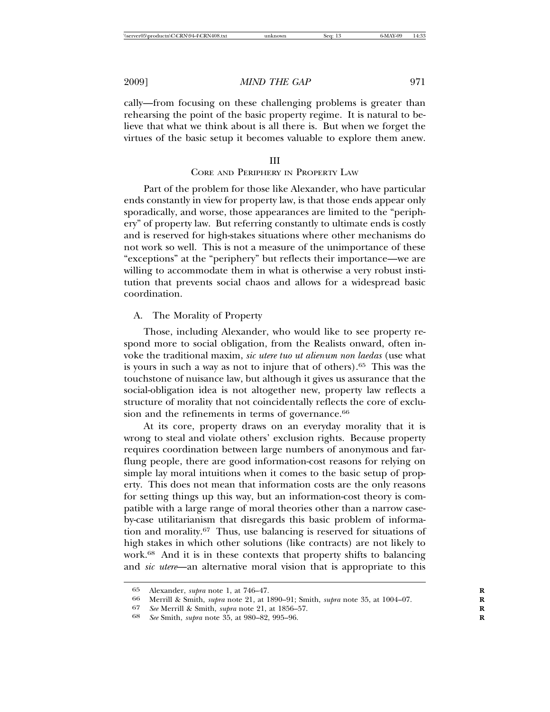cally—from focusing on these challenging problems is greater than rehearsing the point of the basic property regime. It is natural to believe that what we think about is all there is. But when we forget the virtues of the basic setup it becomes valuable to explore them anew.

#### III

## CORE AND PERIPHERY IN PROPERTY LAW

Part of the problem for those like Alexander, who have particular ends constantly in view for property law, is that those ends appear only sporadically, and worse, those appearances are limited to the "periphery" of property law. But referring constantly to ultimate ends is costly and is reserved for high-stakes situations where other mechanisms do not work so well. This is not a measure of the unimportance of these "exceptions" at the "periphery" but reflects their importance—we are willing to accommodate them in what is otherwise a very robust institution that prevents social chaos and allows for a widespread basic coordination.

## A. The Morality of Property

Those, including Alexander, who would like to see property respond more to social obligation, from the Realists onward, often invoke the traditional maxim, *sic utere tuo ut alienum non laedas* (use what is yours in such a way as not to injure that of others).65 This was the touchstone of nuisance law, but although it gives us assurance that the social-obligation idea is not altogether new, property law reflects a structure of morality that not coincidentally reflects the core of exclusion and the refinements in terms of governance.<sup>66</sup>

At its core, property draws on an everyday morality that it is wrong to steal and violate others' exclusion rights. Because property requires coordination between large numbers of anonymous and farflung people, there are good information-cost reasons for relying on simple lay moral intuitions when it comes to the basic setup of property. This does not mean that information costs are the only reasons for setting things up this way, but an information-cost theory is compatible with a large range of moral theories other than a narrow caseby-case utilitarianism that disregards this basic problem of information and morality.67 Thus, use balancing is reserved for situations of high stakes in which other solutions (like contracts) are not likely to work.68 And it is in these contexts that property shifts to balancing and *sic utere*—an alternative moral vision that is appropriate to this

<sup>65</sup> Alexander, *supra* note 1, at 746–47. **R**

<sup>66</sup> Merrill & Smith, *supra* note 21, at 1890–91; Smith, *supra* note 35, at 1004–07. **R**

<sup>67</sup> *See* Merrill & Smith, *supra* note 21, at 1856–57. **R**

<sup>68</sup> *See* Smith, *supra* note 35, at 980–82, 995–96. **R**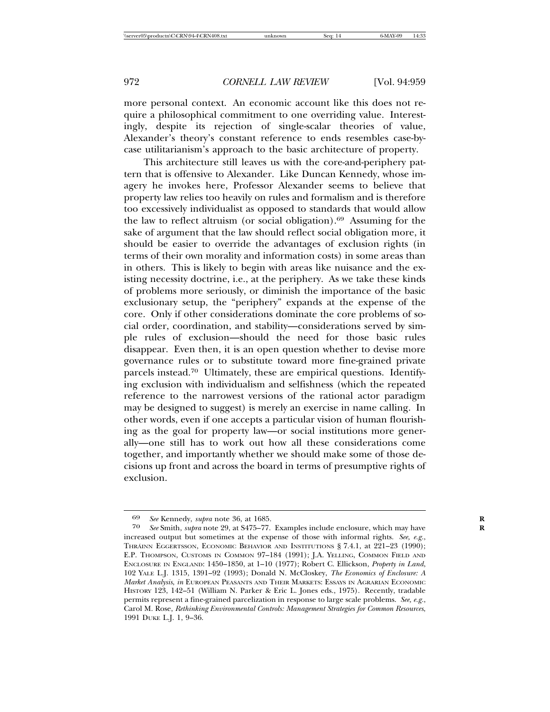more personal context. An economic account like this does not require a philosophical commitment to one overriding value. Interestingly, despite its rejection of single-scalar theories of value, Alexander's theory's constant reference to ends resembles case-bycase utilitarianism's approach to the basic architecture of property.

This architecture still leaves us with the core-and-periphery pattern that is offensive to Alexander. Like Duncan Kennedy, whose imagery he invokes here, Professor Alexander seems to believe that property law relies too heavily on rules and formalism and is therefore too excessively individualist as opposed to standards that would allow the law to reflect altruism (or social obligation).69 Assuming for the sake of argument that the law should reflect social obligation more, it should be easier to override the advantages of exclusion rights (in terms of their own morality and information costs) in some areas than in others. This is likely to begin with areas like nuisance and the existing necessity doctrine, i.e., at the periphery. As we take these kinds of problems more seriously, or diminish the importance of the basic exclusionary setup, the "periphery" expands at the expense of the core. Only if other considerations dominate the core problems of social order, coordination, and stability—considerations served by simple rules of exclusion—should the need for those basic rules disappear. Even then, it is an open question whether to devise more governance rules or to substitute toward more fine-grained private parcels instead.70 Ultimately, these are empirical questions. Identifying exclusion with individualism and selfishness (which the repeated reference to the narrowest versions of the rational actor paradigm may be designed to suggest) is merely an exercise in name calling. In other words, even if one accepts a particular vision of human flourishing as the goal for property law—or social institutions more generally—one still has to work out how all these considerations come together, and importantly whether we should make some of those decisions up front and across the board in terms of presumptive rights of exclusion.

<sup>69</sup> *See* Kennedy, *supra* note 36, at 1685. **R**

See Smith, *supra* note 29, at S475–77. Examples include enclosure, which may have increased output but sometimes at the expense of those with informal rights. *See, e.g.*, THRÁINN EGGERTSSON, ECONOMIC BEHAVIOR AND INSTITUTIONS § 7.4.1, at 221–23 (1990); E.P. THOMPSON, CUSTOMS IN COMMON 97–184 (1991); J.A. YELLING, COMMON FIELD AND ENCLOSURE IN ENGLAND: 1450–1850, at 1–10 (1977); Robert C. Ellickson, *Property in Land*, 102 YALE L.J. 1315, 1391–92 (1993); Donald N. McCloskey, *The Economics of Enclosure: A Market Analysis*, *in* EUROPEAN PEASANTS AND THEIR MARKETS: ESSAYS IN AGRARIAN ECONOMIC HISTORY 123, 142-51 (William N. Parker & Eric L. Jones eds., 1975). Recently, tradable permits represent a fine-grained parcelization in response to large scale problems. *See, e.g.*, Carol M. Rose, *Rethinking Environmental Controls: Management Strategies for Common Resources*, 1991 DUKE L.J. 1, 9–36.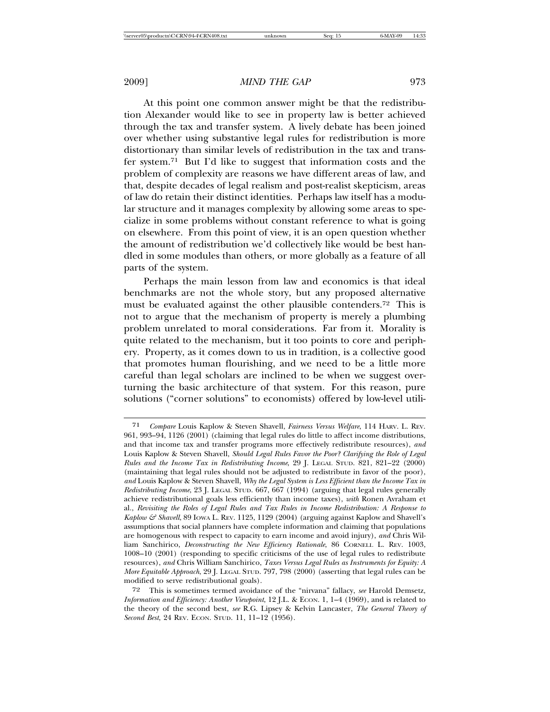At this point one common answer might be that the redistribution Alexander would like to see in property law is better achieved through the tax and transfer system. A lively debate has been joined over whether using substantive legal rules for redistribution is more distortionary than similar levels of redistribution in the tax and transfer system.71 But I'd like to suggest that information costs and the problem of complexity are reasons we have different areas of law, and that, despite decades of legal realism and post-realist skepticism, areas of law do retain their distinct identities. Perhaps law itself has a modular structure and it manages complexity by allowing some areas to specialize in some problems without constant reference to what is going on elsewhere. From this point of view, it is an open question whether the amount of redistribution we'd collectively like would be best handled in some modules than others, or more globally as a feature of all parts of the system.

Perhaps the main lesson from law and economics is that ideal benchmarks are not the whole story, but any proposed alternative must be evaluated against the other plausible contenders.72 This is not to argue that the mechanism of property is merely a plumbing problem unrelated to moral considerations. Far from it. Morality is quite related to the mechanism, but it too points to core and periphery. Property, as it comes down to us in tradition, is a collective good that promotes human flourishing, and we need to be a little more careful than legal scholars are inclined to be when we suggest overturning the basic architecture of that system. For this reason, pure solutions ("corner solutions" to economists) offered by low-level utili-

<sup>71</sup> *Compare* Louis Kaplow & Steven Shavell, *Fairness Versus Welfare*, 114 HARV. L. REV. 961, 993–94, 1126 (2001) (claiming that legal rules do little to affect income distributions, and that income tax and transfer programs more effectively redistribute resources), *and* Louis Kaplow & Steven Shavell, *Should Legal Rules Favor the Poor? Clarifying the Role of Legal Rules and the Income Tax in Redistributing Income*, 29 J. LEGAL STUD. 821, 821–22 (2000) (maintaining that legal rules should not be adjusted to redistribute in favor of the poor), *and* Louis Kaplow & Steven Shavell, *Why the Legal System is Less Efficient than the Income Tax in Redistributing Income*, 23 J. LEGAL STUD. 667, 667 (1994) (arguing that legal rules generally achieve redistributional goals less efficiently than income taxes), *with* Ronen Avraham et al., *Revisiting the Roles of Legal Rules and Tax Rules in Income Redistribution: A Response to Kaplow & Shavell*, 89 IOWA L. REV. 1125, 1129 (2004) (arguing against Kaplow and Shavell's assumptions that social planners have complete information and claiming that populations are homogenous with respect to capacity to earn income and avoid injury), *and* Chris William Sanchirico, *Deconstructing the New Efficiency Rationale*, 86 CORNELL L. REV. 1003, 1008–10 (2001) (responding to specific criticisms of the use of legal rules to redistribute resources), *and* Chris William Sanchirico, *Taxes Versus Legal Rules as Instruments for Equity: A More Equitable Approach*, 29 J. LEGAL STUD. 797, 798 (2000) (asserting that legal rules can be modified to serve redistributional goals).

<sup>72</sup> This is sometimes termed avoidance of the "nirvana" fallacy, *see* Harold Demsetz, *Information and Efficiency: Another Viewpoint*, 12 J.L. & ECON. 1, 1-4 (1969), and is related to the theory of the second best, *see* R.G. Lipsey & Kelvin Lancaster, *The General Theory of Second Best*, 24 REV. ECON. STUD. 11, 11–12 (1956).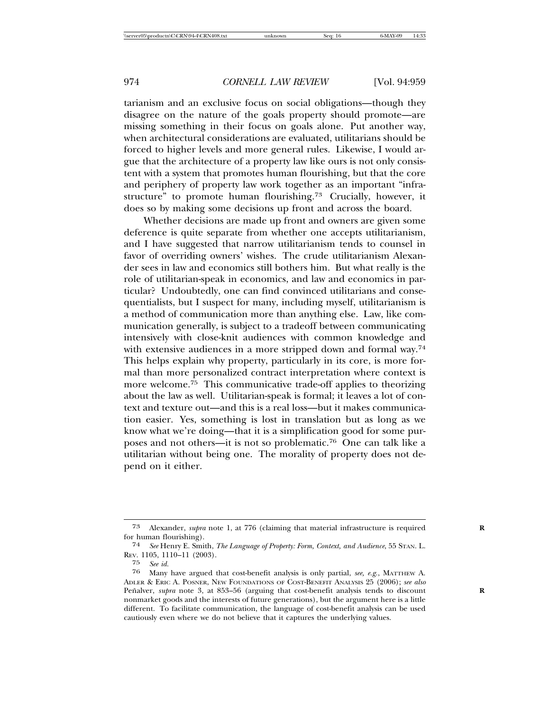tarianism and an exclusive focus on social obligations—though they disagree on the nature of the goals property should promote—are missing something in their focus on goals alone. Put another way, when architectural considerations are evaluated, utilitarians should be forced to higher levels and more general rules. Likewise, I would argue that the architecture of a property law like ours is not only consistent with a system that promotes human flourishing, but that the core and periphery of property law work together as an important "infrastructure" to promote human flourishing.<sup>73</sup> Crucially, however, it does so by making some decisions up front and across the board.

Whether decisions are made up front and owners are given some deference is quite separate from whether one accepts utilitarianism, and I have suggested that narrow utilitarianism tends to counsel in favor of overriding owners' wishes. The crude utilitarianism Alexander sees in law and economics still bothers him. But what really is the role of utilitarian-speak in economics, and law and economics in particular? Undoubtedly, one can find convinced utilitarians and consequentialists, but I suspect for many, including myself, utilitarianism is a method of communication more than anything else. Law, like communication generally, is subject to a tradeoff between communicating intensively with close-knit audiences with common knowledge and with extensive audiences in a more stripped down and formal way.74 This helps explain why property, particularly in its core, is more formal than more personalized contract interpretation where context is more welcome.75 This communicative trade-off applies to theorizing about the law as well. Utilitarian-speak is formal; it leaves a lot of context and texture out—and this is a real loss—but it makes communication easier. Yes, something is lost in translation but as long as we know what we're doing—that it is a simplification good for some purposes and not others—it is not so problematic.76 One can talk like a utilitarian without being one. The morality of property does not depend on it either.

<sup>73</sup> Alexander, *supra* note 1, at 776 (claiming that material infrastructure is required **R** for human flourishing).

<sup>74</sup> *See* Henry E. Smith, *The Language of Property: Form, Context, and Audience*, 55 STAN. L. REV. 1105, 1110–11 (2003).

<sup>75</sup> *See id.*

<sup>76</sup> Many have argued that cost-benefit analysis is only partial, *see, e.g.*, MATTHEW A. ADLER & ERIC A. POSNER, NEW FOUNDATIONS OF COST-BENEFIT ANALYSIS 25 (2006); *see also* Penalver, *supra* note 3, at 853–56 (arguing that cost-benefit analysis tends to discount nonmarket goods and the interests of future generations), but the argument here is a little different. To facilitate communication, the language of cost-benefit analysis can be used cautiously even where we do not believe that it captures the underlying values.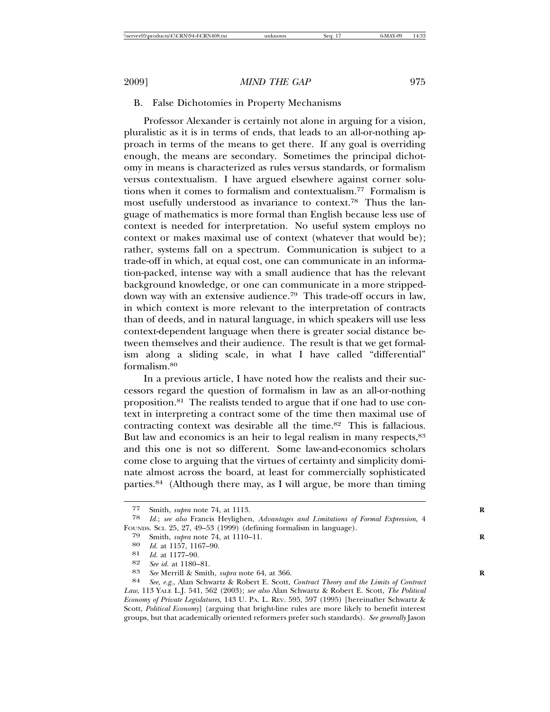## B. False Dichotomies in Property Mechanisms

Professor Alexander is certainly not alone in arguing for a vision, pluralistic as it is in terms of ends, that leads to an all-or-nothing approach in terms of the means to get there. If any goal is overriding enough, the means are secondary. Sometimes the principal dichotomy in means is characterized as rules versus standards, or formalism versus contextualism. I have argued elsewhere against corner solutions when it comes to formalism and contextualism.77 Formalism is most usefully understood as invariance to context.78 Thus the language of mathematics is more formal than English because less use of context is needed for interpretation. No useful system employs no context or makes maximal use of context (whatever that would be); rather, systems fall on a spectrum. Communication is subject to a trade-off in which, at equal cost, one can communicate in an information-packed, intense way with a small audience that has the relevant background knowledge, or one can communicate in a more strippeddown way with an extensive audience.79 This trade-off occurs in law, in which context is more relevant to the interpretation of contracts than of deeds, and in natural language, in which speakers will use less context-dependent language when there is greater social distance between themselves and their audience. The result is that we get formalism along a sliding scale, in what I have called "differential" formalism.80

In a previous article, I have noted how the realists and their successors regard the question of formalism in law as an all-or-nothing proposition.81 The realists tended to argue that if one had to use context in interpreting a contract some of the time then maximal use of contracting context was desirable all the time.<sup>82</sup> This is fallacious. But law and economics is an heir to legal realism in many respects, <sup>83</sup> and this one is not so different. Some law-and-economics scholars come close to arguing that the virtues of certainty and simplicity dominate almost across the board, at least for commercially sophisticated parties.84 (Although there may, as I will argue, be more than timing

<sup>77</sup> Smith, *supra* note 74, at 1113. **R**

<sup>78</sup> *Id.*; *see also* Francis Heylighen, *Advantages and Limitations of Formal Expression*, 4 FOUNDS. SCI. 25, 27, 49–53 (1999) (defining formalism in language).

<sup>79</sup> Smith, *supra* note 74, at 1110–11.<br>80 *Id* at 1157 1167–90

<sup>80</sup> *Id.* at 1157, 1167–90.<br>81 *Id.* at 1177–90.

<sup>81</sup> *Id.* at 1177–90.

<sup>83</sup> See Merrill & Smith, *supra* note 64, at 366.

<sup>84</sup> *See, e.g.*, Alan Schwartz & Robert E. Scott, *Contract Theory and the Limits of Contract Law*, 113 YALE L.J. 541, 562 (2003); *see also* Alan Schwartz & Robert E. Scott, *The Political Economy of Private Legislatures*, 143 U. PA. L. REV. 595, 597 (1995) [hereinafter Schwartz & Scott, *Political Economy*] (arguing that bright-line rules are more likely to benefit interest groups, but that academically oriented reformers prefer such standards). *See generally* Jason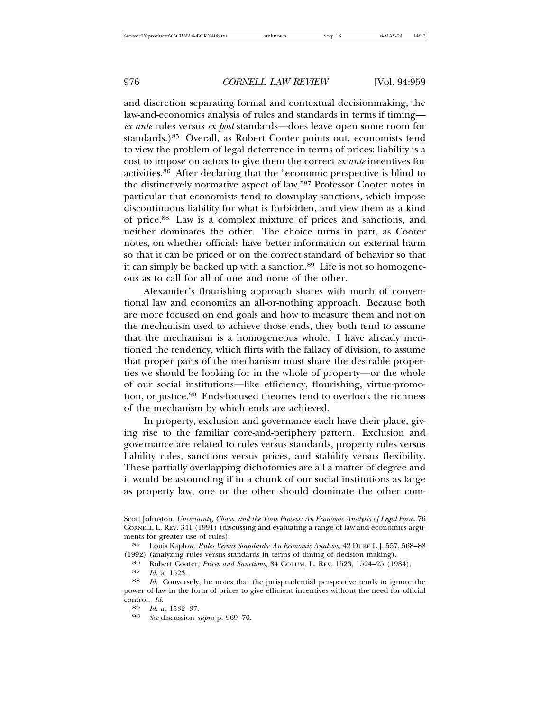and discretion separating formal and contextual decisionmaking, the law-and-economics analysis of rules and standards in terms if timing *ex ante* rules versus *ex post* standards—does leave open some room for standards.)<sup>85</sup> Overall, as Robert Cooter points out, economists tend to view the problem of legal deterrence in terms of prices: liability is a cost to impose on actors to give them the correct *ex ante* incentives for activities.86 After declaring that the "economic perspective is blind to the distinctively normative aspect of law,"87 Professor Cooter notes in particular that economists tend to downplay sanctions, which impose discontinuous liability for what is forbidden, and view them as a kind of price.88 Law is a complex mixture of prices and sanctions, and neither dominates the other. The choice turns in part, as Cooter notes, on whether officials have better information on external harm so that it can be priced or on the correct standard of behavior so that it can simply be backed up with a sanction.<sup>89</sup> Life is not so homogeneous as to call for all of one and none of the other.

Alexander's flourishing approach shares with much of conventional law and economics an all-or-nothing approach. Because both are more focused on end goals and how to measure them and not on the mechanism used to achieve those ends, they both tend to assume that the mechanism is a homogeneous whole. I have already mentioned the tendency, which flirts with the fallacy of division, to assume that proper parts of the mechanism must share the desirable properties we should be looking for in the whole of property—or the whole of our social institutions—like efficiency, flourishing, virtue-promotion, or justice.<sup>90</sup> Ends-focused theories tend to overlook the richness of the mechanism by which ends are achieved.

In property, exclusion and governance each have their place, giving rise to the familiar core-and-periphery pattern. Exclusion and governance are related to rules versus standards, property rules versus liability rules, sanctions versus prices, and stability versus flexibility. These partially overlapping dichotomies are all a matter of degree and it would be astounding if in a chunk of our social institutions as large as property law, one or the other should dominate the other com-

Scott Johnston, *Uncertainty, Chaos, and the Torts Process: An Economic Analysis of Legal Form*, 76 CORNELL L. REV. 341 (1991) (discussing and evaluating a range of law-and-economics arguments for greater use of rules).

<sup>85</sup> Louis Kaplow, *Rules Versus Standards: An Economic Analysis*, 42 DUKE L.J. 557, 568–88

<sup>(1992) (</sup>analyzing rules versus standards in terms of timing of decision making). <sup>86</sup> Robert Cooter, *Prices and Sanctions*, 84 COLUM. L. REV. 1523, 1524–25 (1984).

<sup>87</sup> *Id.* at 1523. <sup>88</sup> *Id.* Conversely, he notes that the jurisprudential perspective tends to ignore the power of law in the form of prices to give efficient incentives without the need for official control. *Id.* <sup>89</sup> *Id.* at 1532–37. <sup>90</sup> *See* discussion *supra* p. 969–70.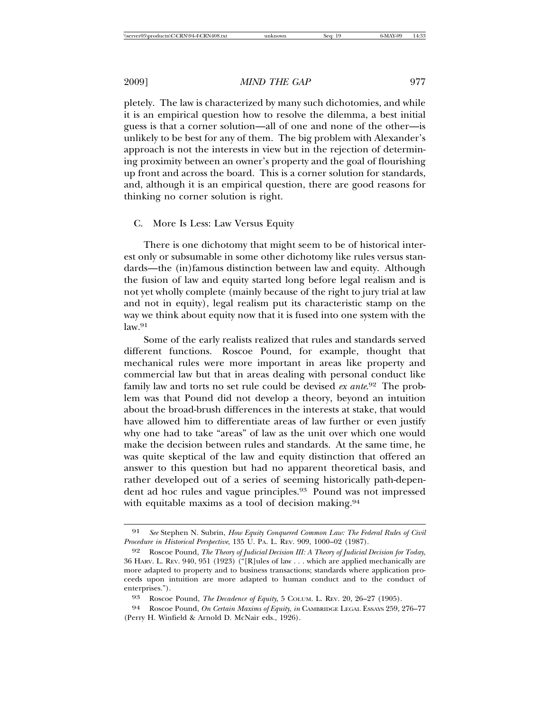pletely. The law is characterized by many such dichotomies, and while it is an empirical question how to resolve the dilemma, a best initial guess is that a corner solution—all of one and none of the other—is unlikely to be best for any of them. The big problem with Alexander's approach is not the interests in view but in the rejection of determining proximity between an owner's property and the goal of flourishing up front and across the board. This is a corner solution for standards, and, although it is an empirical question, there are good reasons for thinking no corner solution is right.

### C. More Is Less: Law Versus Equity

There is one dichotomy that might seem to be of historical interest only or subsumable in some other dichotomy like rules versus standards—the (in)famous distinction between law and equity. Although the fusion of law and equity started long before legal realism and is not yet wholly complete (mainly because of the right to jury trial at law and not in equity), legal realism put its characteristic stamp on the way we think about equity now that it is fused into one system with the  $law<sup>91</sup>$ 

Some of the early realists realized that rules and standards served different functions. Roscoe Pound, for example, thought that mechanical rules were more important in areas like property and commercial law but that in areas dealing with personal conduct like family law and torts no set rule could be devised *ex ante*. 92 The problem was that Pound did not develop a theory, beyond an intuition about the broad-brush differences in the interests at stake, that would have allowed him to differentiate areas of law further or even justify why one had to take "areas" of law as the unit over which one would make the decision between rules and standards. At the same time, he was quite skeptical of the law and equity distinction that offered an answer to this question but had no apparent theoretical basis, and rather developed out of a series of seeming historically path-dependent ad hoc rules and vague principles.<sup>93</sup> Pound was not impressed with equitable maxims as a tool of decision making.<sup>94</sup>

<sup>91</sup> *See* Stephen N. Subrin, *How Equity Conquered Common Law: The Federal Rules of Civil Procedure in Historical Perspective*, 135 U. PA. L. REV. 909, 1000–02 (1987).

<sup>92</sup> Roscoe Pound, *The Theory of Judicial Decision III: A Theory of Judicial Decision for Today*, 36 HARV. L. REV. 940, 951 (1923) ("[R]ules of law . . . which are applied mechanically are more adapted to property and to business transactions; standards where application proceeds upon intuition are more adapted to human conduct and to the conduct of enterprises.").

<sup>93</sup> Roscoe Pound, *The Decadence of Equity*, 5 COLUM. L. REV. 20, 26–27 (1905).

<sup>94</sup> Roscoe Pound, *On Certain Maxims of Equity*, *in* CAMBRIDGE LEGAL ESSAYS 259, 276–77 (Perry H. Winfield & Arnold D. McNair eds., 1926).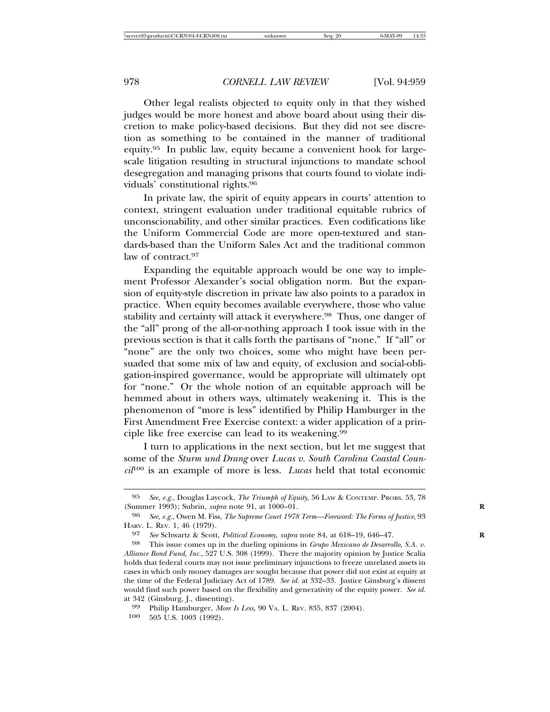Other legal realists objected to equity only in that they wished judges would be more honest and above board about using their discretion to make policy-based decisions. But they did not see discretion as something to be contained in the manner of traditional equity.95 In public law, equity became a convenient hook for largescale litigation resulting in structural injunctions to mandate school desegregation and managing prisons that courts found to violate individuals' constitutional rights.96

In private law, the spirit of equity appears in courts' attention to context, stringent evaluation under traditional equitable rubrics of unconscionability, and other similar practices. Even codifications like the Uniform Commercial Code are more open-textured and standards-based than the Uniform Sales Act and the traditional common law of contract.<sup>97</sup>

Expanding the equitable approach would be one way to implement Professor Alexander's social obligation norm. But the expansion of equity-style discretion in private law also points to a paradox in practice. When equity becomes available everywhere, those who value stability and certainty will attack it everywhere.<sup>98</sup> Thus, one danger of the "all" prong of the all-or-nothing approach I took issue with in the previous section is that it calls forth the partisans of "none." If "all" or "none" are the only two choices, some who might have been persuaded that some mix of law and equity, of exclusion and social-obligation-inspired governance, would be appropriate will ultimately opt for "none." Or the whole notion of an equitable approach will be hemmed about in others ways, ultimately weakening it. This is the phenomenon of "more is less" identified by Philip Hamburger in the First Amendment Free Exercise context: a wider application of a principle like free exercise can lead to its weakening.<sup>99</sup>

I turn to applications in the next section, but let me suggest that some of the *Sturm und Drang* over *Lucas v. South Carolina Coastal Council*100 is an example of more is less. *Lucas* held that total economic

<sup>95</sup> *See, e.g.*, Douglas Laycock, *The Triumph of Equity*, 56 LAW & CONTEMP. PROBS. 53, 78 (Summer 1993); Subrin, *supra* note 91, at 1000–01. **R**

<sup>96</sup> *See, e.g.*, Owen M. Fiss, *The Supreme Court 1978 Term—Foreword: The Forms of Justice*, 93 HARV. L. REV. 1, 46 (1979).

<sup>97</sup> *See* Schwartz & Scott, *Political Economy*, *supra* note 84, at 618–19, 646–47. **R**

<sup>98</sup> This issue comes up in the dueling opinions in *Grupo Mexicano de Desarrollo, S.A. v. Alliance Bond Fund, Inc.*, 527 U.S. 308 (1999). There the majority opinion by Justice Scalia holds that federal courts may not issue preliminary injunctions to freeze unrelated assets in cases in which only money damages are sought because that power did not exist at equity at the time of the Federal Judiciary Act of 1789. *See id.* at 332–33. Justice Ginsburg's dissent would find such power based on the flexibility and generativity of the equity power. *See id.* at 342 (Ginsburg, J., dissenting).

<sup>99</sup> Philip Hamburger, *More Is Less*, 90 VA. L. REV. 835, 837 (2004).

<sup>100</sup> 505 U.S. 1003 (1992).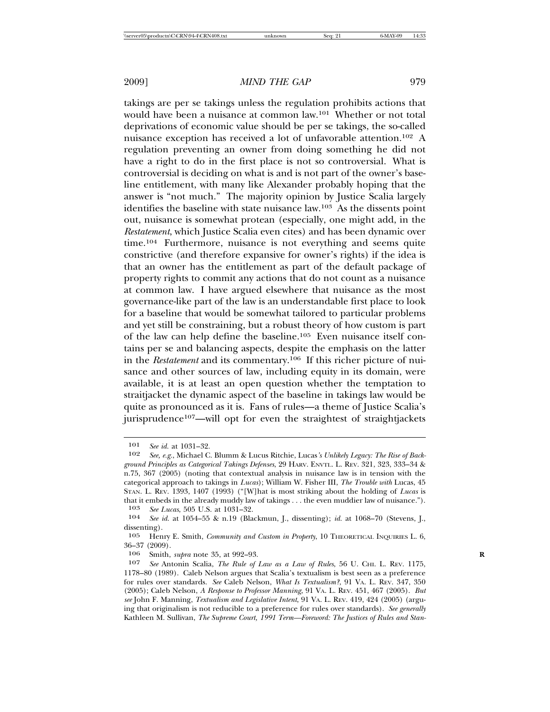takings are per se takings unless the regulation prohibits actions that would have been a nuisance at common law.101 Whether or not total deprivations of economic value should be per se takings, the so-called nuisance exception has received a lot of unfavorable attention.102 A regulation preventing an owner from doing something he did not have a right to do in the first place is not so controversial. What is controversial is deciding on what is and is not part of the owner's baseline entitlement, with many like Alexander probably hoping that the answer is "not much." The majority opinion by Justice Scalia largely identifies the baseline with state nuisance law.103 As the dissents point out, nuisance is somewhat protean (especially, one might add, in the *Restatement*, which Justice Scalia even cites) and has been dynamic over time.104 Furthermore, nuisance is not everything and seems quite constrictive (and therefore expansive for owner's rights) if the idea is that an owner has the entitlement as part of the default package of property rights to commit any actions that do not count as a nuisance at common law. I have argued elsewhere that nuisance as the most governance-like part of the law is an understandable first place to look for a baseline that would be somewhat tailored to particular problems and yet still be constraining, but a robust theory of how custom is part of the law can help define the baseline.105 Even nuisance itself contains per se and balancing aspects, despite the emphasis on the latter in the *Restatement* and its commentary.106 If this richer picture of nuisance and other sources of law, including equity in its domain, were available, it is at least an open question whether the temptation to straitjacket the dynamic aspect of the baseline in takings law would be quite as pronounced as it is. Fans of rules—a theme of Justice Scalia's jurisprudence<sup>107</sup>—will opt for even the straightest of straightjackets

<sup>101</sup> *See id.* at 1031–32.

<sup>102</sup> *See, e.g.*, Michael C. Blumm & Lucus Ritchie, Lucas*'s Unlikely Legacy: The Rise of Background Principles as Categorical Takings Defenses*, 29 HARV. ENVTL. L. REV. 321, 323, 333–34 & n.75, 367 (2005) (noting that contextual analysis in nuisance law is in tension with the categorical approach to takings in *Lucas*); William W. Fisher III, *The Trouble with* Lucas, 45 STAN. L. REV. 1393, 1407 (1993) ("[W]hat is most striking about the holding of *Lucas* is that it embeds in the already muddy law of takings . . . the even muddier law of nuisance.").

<sup>103</sup> *See Lucas*, 505 U.S. at 1031–32. 104 *See id.* at 1054–55 & n.19 (Blackmun, J., dissenting); *id.* at 1068–70 (Stevens, J., dissenting).

<sup>105</sup> Henry E. Smith, *Community and Custom in Property*, 10 THEORETICAL INQUIRIES L. 6,  $36-37$  (2009).<br>106 Smith

<sup>106</sup> Smith, *supra* note 35, at 992–93.<br>107 See Antonin Scalia. The Rule of

<sup>107</sup> *See* Antonin Scalia, *The Rule of Law as a Law of Rules*, 56 U. CHI. L. REV. 1175, 1178–80 (1989). Caleb Nelson argues that Scalia's textualism is best seen as a preference for rules over standards. *See* Caleb Nelson, *What Is Textualism?*, 91 VA. L. REV. 347, 350 (2005); Caleb Nelson, *A Response to Professor Manning*, 91 VA. L. REV. 451, 467 (2005). *But see* John F. Manning, *Textualism and Legislative Intent*, 91 VA. L. REV. 419, 424 (2005) (arguing that originalism is not reducible to a preference for rules over standards). *See generally* Kathleen M. Sullivan, *The Supreme Court, 1991 Term—Foreword: The Justices of Rules and Stan-*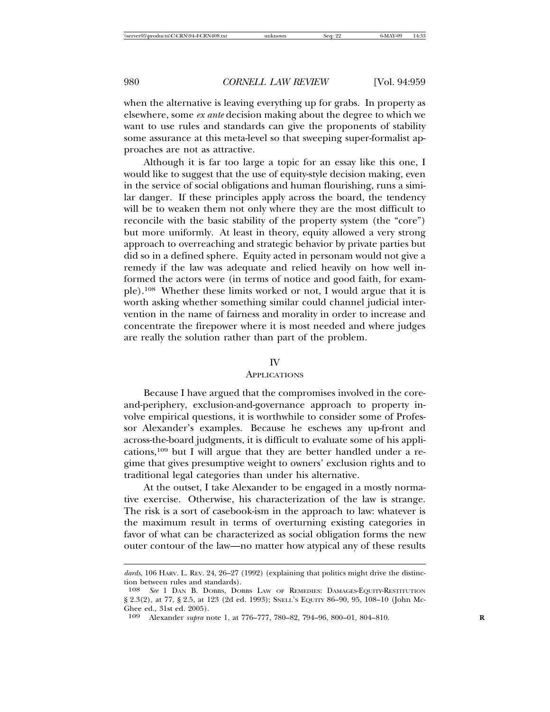when the alternative is leaving everything up for grabs. In property as elsewhere, some *ex ante* decision making about the degree to which we want to use rules and standards can give the proponents of stability some assurance at this meta-level so that sweeping super-formalist approaches are not as attractive.

Although it is far too large a topic for an essay like this one, I would like to suggest that the use of equity-style decision making, even in the service of social obligations and human flourishing, runs a similar danger. If these principles apply across the board, the tendency will be to weaken them not only where they are the most difficult to reconcile with the basic stability of the property system (the "core") but more uniformly. At least in theory, equity allowed a very strong approach to overreaching and strategic behavior by private parties but did so in a defined sphere. Equity acted in personam would not give a remedy if the law was adequate and relied heavily on how well informed the actors were (in terms of notice and good faith, for example).108 Whether these limits worked or not, I would argue that it is worth asking whether something similar could channel judicial intervention in the name of fairness and morality in order to increase and concentrate the firepower where it is most needed and where judges are really the solution rather than part of the problem.

#### IV

#### **APPLICATIONS**

Because I have argued that the compromises involved in the coreand-periphery, exclusion-and-governance approach to property involve empirical questions, it is worthwhile to consider some of Professor Alexander's examples. Because he eschews any up-front and across-the-board judgments, it is difficult to evaluate some of his applications,109 but I will argue that they are better handled under a regime that gives presumptive weight to owners' exclusion rights and to traditional legal categories than under his alternative.

At the outset, I take Alexander to be engaged in a mostly normative exercise. Otherwise, his characterization of the law is strange. The risk is a sort of casebook-ism in the approach to law: whatever is the maximum result in terms of overturning existing categories in favor of what can be characterized as social obligation forms the new outer contour of the law—no matter how atypical any of these results

dards, 106 HARV. L. REV. 24, 26-27 (1992) (explaining that politics might drive the distinction between rules and standards).

<sup>108</sup> *See* 1 DAN B. DOBBS, DOBBS LAW OF REMEDIES: DAMAGES-EQUITY-RESTITUTION § 2.3(2), at 77, § 2.5, at 123 (2d ed. 1993); SNELL's EQUITY 86-90, 95, 108-10 (John Mc-Ghee ed., 31st ed. 2005).

<sup>109</sup> Alexander *supra* note 1, at 776–777, 780–82, 794–96, 800–01, 804–810. **R**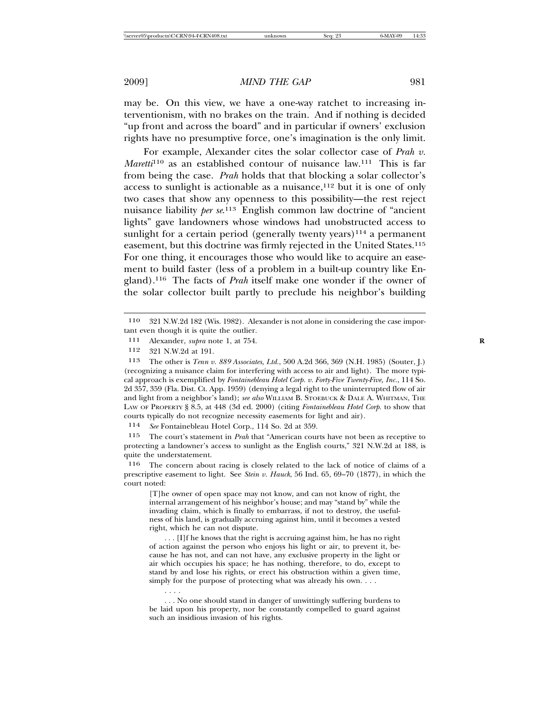may be. On this view, we have a one-way ratchet to increasing interventionism, with no brakes on the train. And if nothing is decided "up front and across the board" and in particular if owners' exclusion rights have no presumptive force, one's imagination is the only limit.

For example, Alexander cites the solar collector case of *Prah v. Maretti*<sup>110</sup> as an established contour of nuisance law.<sup>111</sup> This is far from being the case. *Prah* holds that that blocking a solar collector's access to sunlight is actionable as a nuisance,  $12$  but it is one of only two cases that show any openness to this possibility—the rest reject nuisance liability *per se*. 113 English common law doctrine of "ancient lights" gave landowners whose windows had unobstructed access to sunlight for a certain period (generally twenty years) $114$  a permanent easement, but this doctrine was firmly rejected in the United States.115 For one thing, it encourages those who would like to acquire an easement to build faster (less of a problem in a built-up country like England).116 The facts of *Prah* itself make one wonder if the owner of the solar collector built partly to preclude his neighbor's building

. . . .

114 *See* Fontainebleau Hotel Corp., 114 So. 2d at 359.

115 The court's statement in *Prah* that "American courts have not been as receptive to protecting a landowner's access to sunlight as the English courts," 321 N.W.2d at 188, is quite the understatement.

116 The concern about racing is closely related to the lack of notice of claims of a prescriptive easement to light. See *Stein v. Hauck*, 56 Ind. 65, 69–70 (1877), in which the court noted:

[T]he owner of open space may not know, and can not know of right, the internal arrangement of his neighbor's house; and may "stand by" while the invading claim, which is finally to embarrass, if not to destroy, the usefulness of his land, is gradually accruing against him, until it becomes a vested right, which he can not dispute.

. . . [I]f he knows that the right is accruing against him, he has no right of action against the person who enjoys his light or air, to prevent it, because he has not, and can not have, any exclusive property in the light or air which occupies his space; he has nothing, therefore, to do, except to stand by and lose his rights, or erect his obstruction within a given time, simply for the purpose of protecting what was already his own....

<sup>110</sup> 321 N.W.2d 182 (Wis. 1982). Alexander is not alone in considering the case important even though it is quite the outlier.

<sup>111</sup> Alexander, *supra* note 1, at 754.<br>112 391 N W 9d at 101

<sup>321</sup> N.W.2d at 191.

<sup>113</sup> The other is *Tenn v. 889 Associates, Ltd.*, 500 A.2d 366, 369 (N.H. 1985) (Souter, J.) (recognizing a nuisance claim for interfering with access to air and light). The more typical approach is exemplified by *Fontainebleau Hotel Corp. v. Forty-Five Twenty-Five, Inc.*, 114 So. 2d 357, 359 (Fla. Dist. Ct. App. 1959) (denying a legal right to the uninterrupted flow of air and light from a neighbor's land); *see also* WILLIAM B. STOEBUCK & DALE A. WHITMAN, THE LAW OF PROPERTY § 8.5, at 448 (3d ed. 2000) (citing *Fontainebleau Hotel Corp.* to show that courts typically do not recognize necessity easements for light and air).

<sup>. . .</sup> No one should stand in danger of unwittingly suffering burdens to be laid upon his property, nor be constantly compelled to guard against such an insidious invasion of his rights.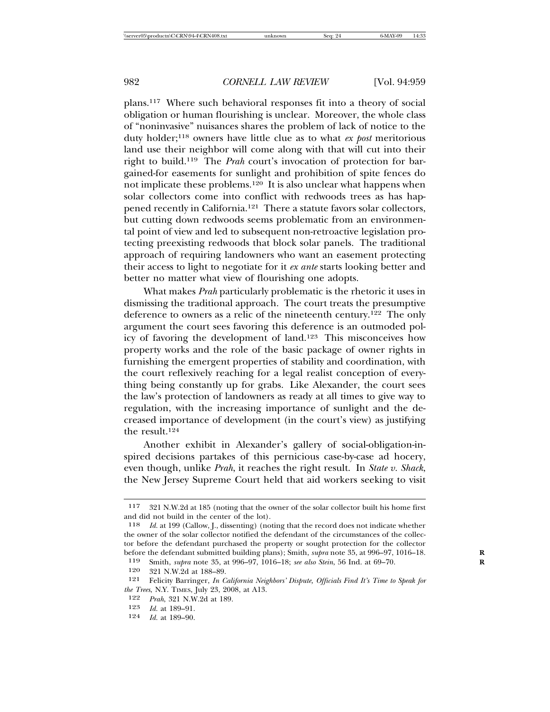plans.117 Where such behavioral responses fit into a theory of social obligation or human flourishing is unclear. Moreover, the whole class of "noninvasive" nuisances shares the problem of lack of notice to the duty holder;118 owners have little clue as to what *ex post* meritorious land use their neighbor will come along with that will cut into their right to build.119 The *Prah* court's invocation of protection for bargained-for easements for sunlight and prohibition of spite fences do not implicate these problems.<sup>120</sup> It is also unclear what happens when solar collectors come into conflict with redwoods trees as has happened recently in California.121 There a statute favors solar collectors, but cutting down redwoods seems problematic from an environmental point of view and led to subsequent non-retroactive legislation protecting preexisting redwoods that block solar panels. The traditional approach of requiring landowners who want an easement protecting their access to light to negotiate for it *ex ante* starts looking better and better no matter what view of flourishing one adopts.

What makes *Prah* particularly problematic is the rhetoric it uses in dismissing the traditional approach. The court treats the presumptive deference to owners as a relic of the nineteenth century.122 The only argument the court sees favoring this deference is an outmoded policy of favoring the development of land.123 This misconceives how property works and the role of the basic package of owner rights in furnishing the emergent properties of stability and coordination, with the court reflexively reaching for a legal realist conception of everything being constantly up for grabs. Like Alexander, the court sees the law's protection of landowners as ready at all times to give way to regulation, with the increasing importance of sunlight and the decreased importance of development (in the court's view) as justifying the result.124

Another exhibit in Alexander's gallery of social-obligation-inspired decisions partakes of this pernicious case-by-case ad hocery, even though, unlike *Prah*, it reaches the right result. In *State v. Shack*, the New Jersey Supreme Court held that aid workers seeking to visit

<sup>117</sup> 321 N.W.2d at 185 (noting that the owner of the solar collector built his home first and did not build in the center of the lot).<br> $\frac{118}{6}$  *Id at* 199 (Callow L dissenting) (no

Id. at 199 (Callow, J., dissenting) (noting that the record does not indicate whether the owner of the solar collector notified the defendant of the circumstances of the collector before the defendant purchased the property or sought protection for the collector before the defendant submitted building plans); Smith, *supra* note 35, at 996–97, 1016–18. **R**

<sup>119</sup> Smith, *supra* note 35, at 996–97, 1016–18; *see also Stein*, 56 Ind. at 69–70. **R**

<sup>120 321</sup> N.W.2d at 188–89.<br>121 Felicity Barringer. In C.

<sup>121</sup> Felicity Barringer, *In California Neighbors' Dispute, Officials Find It's Time to Speak for the Trees*, N.Y. TIMES, July 23, 2008, at A13.

<sup>122</sup> *Prah*, 321 N.W.2d at 189.

<sup>123</sup> *Id.* at 189–91.

<sup>124</sup> *Id.* at 189–90.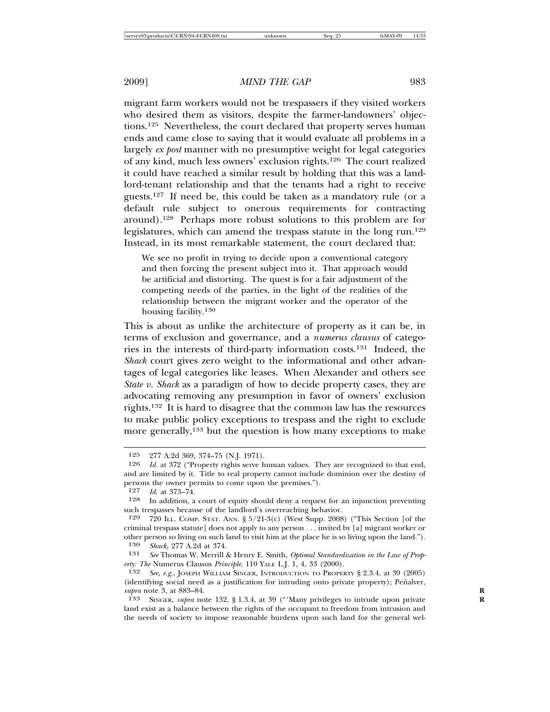migrant farm workers would not be trespassers if they visited workers who desired them as visitors, despite the farmer-landowners' objections.125 Nevertheless, the court declared that property serves human ends and came close to saying that it would evaluate all problems in a largely *ex post* manner with no presumptive weight for legal categories of any kind, much less owners' exclusion rights.126 The court realized it could have reached a similar result by holding that this was a landlord-tenant relationship and that the tenants had a right to receive guests.127 If need be, this could be taken as a mandatory rule (or a default rule subject to onerous requirements for contracting around).128 Perhaps more robust solutions to this problem are for legislatures, which can amend the trespass statute in the long run.129 Instead, in its most remarkable statement, the court declared that:

We see no profit in trying to decide upon a conventional category and then forcing the present subject into it. That approach would be artificial and distorting. The quest is for a fair adjustment of the competing needs of the parties, in the light of the realities of the relationship between the migrant worker and the operator of the housing facility.130

This is about as unlike the architecture of property as it can be, in terms of exclusion and governance, and a *numerus clausus* of categories in the interests of third-party information costs.131 Indeed, the *Shack* court gives zero weight to the informational and other advantages of legal categories like leases. When Alexander and others see *State v. Shack* as a paradigm of how to decide property cases, they are advocating removing any presumption in favor of owners' exclusion rights.132 It is hard to disagree that the common law has the resources to make public policy exceptions to trespass and the right to exclude more generally,<sup>133</sup> but the question is how many exceptions to make

<sup>125</sup> 277 A.2d 369, 374–75 (N.J. 1971).

<sup>126</sup> *Id.* at 372 ("Property rights serve human values. They are recognized to that end, and are limited by it. Title to real property cannot include dominion over the destiny of persons the owner permits to come upon the premises.").

<sup>127</sup> *Id.* at 373–74.

<sup>128</sup> In addition, a court of equity should deny a request for an injunction preventing such trespasses because of the landlord's overreaching behavior.

<sup>129</sup> 720 ILL. COMP. STAT. ANN. § 5/21-3(c) (West Supp. 2008) ("This Section [of the criminal trespass statute] does not apply to any person . . . invited by [a] migrant worker or other person so living on such land to visit him at the place he is so living upon the land.").<br> $130$  Shack 977 A 9d at 374 130 *Shack*, 277 A.2d at 374.

<sup>131</sup> *See* Thomas W. Merrill & Henry E. Smith, *Optimal Standardization in the Law of Property: The* Numerus Clausus *Principle*, 110 YALE L.J. 1, 4, 33 (2000).<br>132 See, e.g., JOSEPH WILLIAM SINGER, INTRODUCTION TO PROPER

See, e.g., JOSEPH WILLIAM SINGER, INTRODUCTION TO PROPERTY § 2.3.4, at 39 (2005) (identifying social need as a justification for intruding onto private property); Peñalver, *supra* note 3, at 883–84.<br> **R**<sub>133</sub> SINGER, *subra* no

SINGER, *supra* note 132, § 1.3.4, at 39 ("'Many privileges to intrude upon private land exist as a balance between the rights of the occupant to freedom from intrusion and the needs of society to impose reasonable burdens upon such land for the general wel-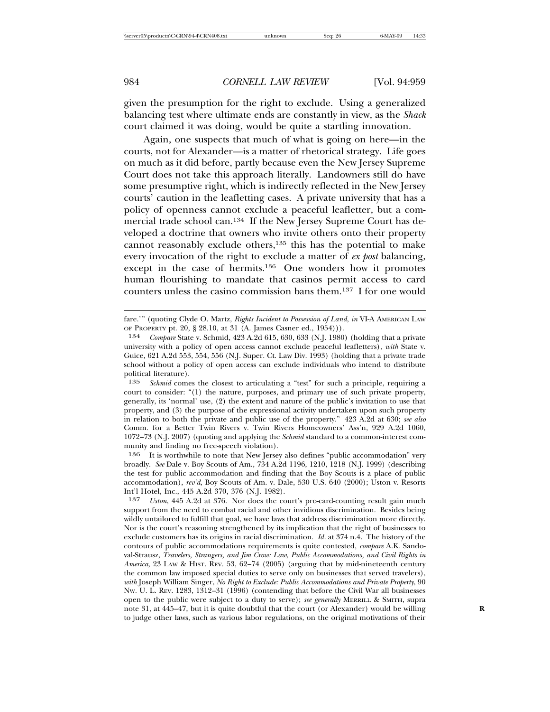given the presumption for the right to exclude. Using a generalized balancing test where ultimate ends are constantly in view, as the *Shack* court claimed it was doing, would be quite a startling innovation.

Again, one suspects that much of what is going on here—in the courts, not for Alexander—is a matter of rhetorical strategy. Life goes on much as it did before, partly because even the New Jersey Supreme Court does not take this approach literally. Landowners still do have some presumptive right, which is indirectly reflected in the New Jersey courts' caution in the leafletting cases. A private university that has a policy of openness cannot exclude a peaceful leafletter, but a commercial trade school can.134 If the New Jersey Supreme Court has developed a doctrine that owners who invite others onto their property cannot reasonably exclude others,135 this has the potential to make every invocation of the right to exclude a matter of *ex post* balancing, except in the case of hermits.<sup>136</sup> One wonders how it promotes human flourishing to mandate that casinos permit access to card counters unless the casino commission bans them.137 I for one would

fare.'" (quoting Clyde O. Martz, *Rights Incident to Possession of Land*, *in* VI-A AMERICAN LAW OF PROPERTY pt. 20, § 28.10, at 31 (A. James Casner ed., 1954))).

<sup>134</sup> *Compare* State v. Schmid, 423 A.2d 615, 630, 633 (N.J. 1980) (holding that a private university with a policy of open access cannot exclude peaceful leafletters), *with* State v. Guice, 621 A.2d 553, 554, 556 (N.J. Super. Ct. Law Div. 1993) (holding that a private trade school without a policy of open access can exclude individuals who intend to distribute political literature).<br>135 Schmid come

Schmid comes the closest to articulating a "test" for such a principle, requiring a court to consider: "(1) the nature, purposes, and primary use of such private property, generally, its 'normal' use, (2) the extent and nature of the public's invitation to use that property, and (3) the purpose of the expressional activity undertaken upon such property in relation to both the private and public use of the property." 423 A.2d at 630; *see also* Comm. for a Better Twin Rivers v. Twin Rivers Homeowners' Ass'n, 929 A.2d 1060, 1072–73 (N.J. 2007) (quoting and applying the *Schmid* standard to a common-interest community and finding no free-speech violation).

<sup>136</sup> It is worthwhile to note that New Jersey also defines "public accommodation" very broadly. *See* Dale v. Boy Scouts of Am., 734 A.2d 1196, 1210, 1218 (N.J. 1999) (describing the test for public accommodation and finding that the Boy Scouts is a place of public accommodation), *rev'd*, Boy Scouts of Am. v. Dale, 530 U.S. 640 (2000); Uston v. Resorts Int'l Hotel, Inc., 445 A.2d 370, 376 (N.J. 1982).

Uston, 445 A.2d at 376. Nor does the court's pro-card-counting result gain much support from the need to combat racial and other invidious discrimination. Besides being wildly untailored to fulfill that goal, we have laws that address discrimination more directly. Nor is the court's reasoning strengthened by its implication that the right of businesses to exclude customers has its origins in racial discrimination. *Id.* at 374 n.4. The history of the contours of public accommodations requirements is quite contested, *compare* A.K. Sandoval-Strausz, *Travelers, Strangers, and Jim Crow: Law, Public Accommodations, and Civil Rights in America*, 23 LAW & HIST. REV. 53, 62–74 (2005) (arguing that by mid-nineteenth century the common law imposed special duties to serve only on businesses that served travelers), *with* Joseph William Singer, *No Right to Exclude: Public Accommodations and Private Property*, 90 NW. U. L. REV. 1283, 1312–31 (1996) (contending that before the Civil War all businesses open to the public were subject to a duty to serve); *see generally* MERRILL & SMITH, supra note 31, at 445–47, but it is quite doubtful that the court (or Alexander) would be willing **R** to judge other laws, such as various labor regulations, on the original motivations of their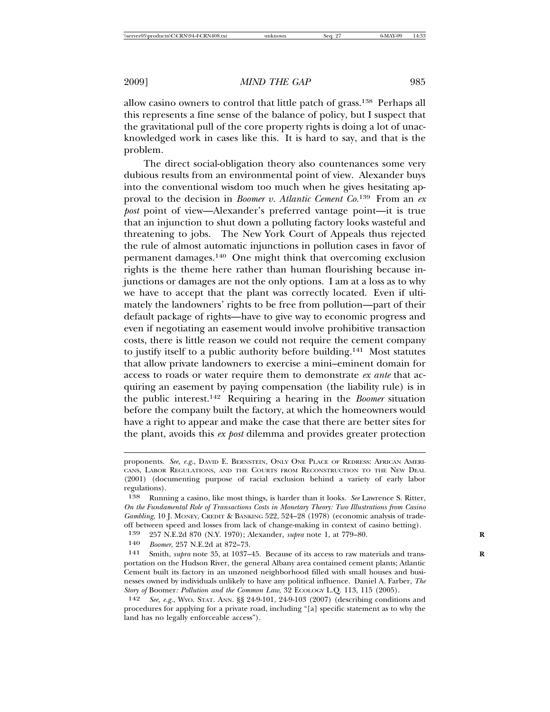allow casino owners to control that little patch of grass.138 Perhaps all this represents a fine sense of the balance of policy, but I suspect that the gravitational pull of the core property rights is doing a lot of unacknowledged work in cases like this. It is hard to say, and that is the problem.

The direct social-obligation theory also countenances some very dubious results from an environmental point of view. Alexander buys into the conventional wisdom too much when he gives hesitating approval to the decision in *Boomer v. Atlantic Cement Co.*139 From an *ex post* point of view—Alexander's preferred vantage point—it is true that an injunction to shut down a polluting factory looks wasteful and threatening to jobs. The New York Court of Appeals thus rejected the rule of almost automatic injunctions in pollution cases in favor of permanent damages.140 One might think that overcoming exclusion rights is the theme here rather than human flourishing because injunctions or damages are not the only options. I am at a loss as to why we have to accept that the plant was correctly located. Even if ultimately the landowners' rights to be free from pollution—part of their default package of rights—have to give way to economic progress and even if negotiating an easement would involve prohibitive transaction costs, there is little reason we could not require the cement company to justify itself to a public authority before building.141 Most statutes that allow private landowners to exercise a mini–eminent domain for access to roads or water require them to demonstrate *ex ante* that acquiring an easement by paying compensation (the liability rule) is in the public interest.142 Requiring a hearing in the *Boomer* situation before the company built the factory, at which the homeowners would have a right to appear and make the case that there are better sites for the plant, avoids this *ex post* dilemma and provides greater protection

proponents. *See, e.g.*, DAVID E. BERNSTEIN, ONLY ONE PLACE OF REDRESS: AFRICAN AMERI-CANS, LABOR REGULATIONS, AND THE COURTS FROM RECONSTRUCTION TO THE NEW DEAL (2001) (documenting purpose of racial exclusion behind a variety of early labor regulations).

<sup>138</sup> Running a casino, like most things, is harder than it looks. *See* Lawrence S. Ritter, *On the Fundamental Role of Transactions Costs in Monetary Theory: Two Illustrations from Casino Gambling*, 10 J. MONEY, CREDIT & BANKING 522, 524–28 (1978) (economic analysis of tradeoff between speed and losses from lack of change-making in context of casino betting).<br> $139 - 957$  N F 94.870 (NV, 1070): Alexander, subscribe 1, at 770, 80

<sup>139</sup> 257 N.E.2d 870 (N.Y. 1970); Alexander, *supra* note 1, at 779–80. **R**

<sup>140</sup> *Boomer*, 257 N.E.2d at 872–73.<br>141 Smith *subra* note 35 at 1037–

Smith, *supra* note 35, at 1037-45. Because of its access to raw materials and transportation on the Hudson River, the general Albany area contained cement plants; Atlantic Cement built its factory in an unzoned neighborhood filled with small houses and businesses owned by individuals unlikely to have any political influence. Daniel A. Farber, *The Story of* Boomer: *Pollution and the Common Law*, 32 ECOLOGY L.Q. 113, 115 (2005).<br>142 *See e.g.*, Wyo, Stat. Ann. 88 24-9-101, 24-9-103 (2007) (describing conditional

See, e.g., Wyo. STAT. ANN. §§ 24-9-101, 24-9-103 (2007) (describing conditions and procedures for applying for a private road, including "[a] specific statement as to why the land has no legally enforceable access").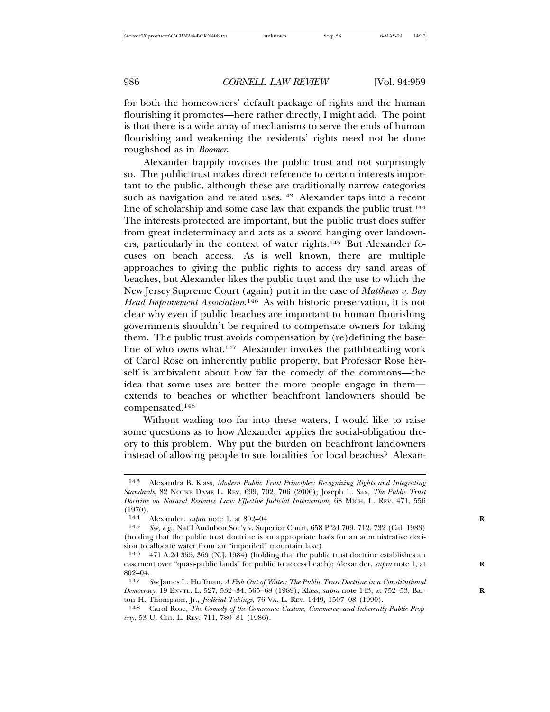for both the homeowners' default package of rights and the human flourishing it promotes—here rather directly, I might add. The point is that there is a wide array of mechanisms to serve the ends of human flourishing and weakening the residents' rights need not be done roughshod as in *Boomer*.

Alexander happily invokes the public trust and not surprisingly so. The public trust makes direct reference to certain interests important to the public, although these are traditionally narrow categories such as navigation and related uses.<sup>143</sup> Alexander taps into a recent line of scholarship and some case law that expands the public trust.<sup>144</sup> The interests protected are important, but the public trust does suffer from great indeterminacy and acts as a sword hanging over landowners, particularly in the context of water rights.145 But Alexander focuses on beach access. As is well known, there are multiple approaches to giving the public rights to access dry sand areas of beaches, but Alexander likes the public trust and the use to which the New Jersey Supreme Court (again) put it in the case of *Matthews v. Bay Head Improvement Association*. 146 As with historic preservation, it is not clear why even if public beaches are important to human flourishing governments shouldn't be required to compensate owners for taking them. The public trust avoids compensation by (re)defining the baseline of who owns what.147 Alexander invokes the pathbreaking work of Carol Rose on inherently public property, but Professor Rose herself is ambivalent about how far the comedy of the commons—the idea that some uses are better the more people engage in them extends to beaches or whether beachfront landowners should be compensated.148

Without wading too far into these waters, I would like to raise some questions as to how Alexander applies the social-obligation theory to this problem. Why put the burden on beachfront landowners instead of allowing people to sue localities for local beaches? Alexan-

<sup>143</sup> Alexandra B. Klass, *Modern Public Trust Principles: Recognizing Rights and Integrating Standards*, 82 NOTRE DAME L. REV. 699, 702, 706 (2006); Joseph L. Sax, *The Public Trust Doctrine on Natural Resource Law: Effective Judicial Intervention*, 68 MICH. L. REV. 471, 556 (1970).

<sup>144</sup> Alexander, *supra* note 1, at 802–04. **R**

<sup>145</sup> *See, e.g.*, Nat'l Audubon Soc'y v. Superior Court, 658 P.2d 709, 712, 732 (Cal. 1983) (holding that the public trust doctrine is an appropriate basis for an administrative decision to allocate water from an "imperiled" mountain lake).

<sup>146</sup> 471 A.2d 355, 369 (N.J. 1984) (holding that the public trust doctrine establishes an easement over "quasi-public lands" for public to access beach); Alexander, *supra* note 1, at **R**  $802 - 04.$ <br>147

<sup>147</sup> *See* James L. Huffman, *A Fish Out of Water: The Public Trust Doctrine in a Constitutional Democracy*, 19 ENVTL. L. 527, 532–34, 565–68 (1989); Klass, *supra* note 143, at 752–53; Bar- **R** ton H. Thompson, Jr., *Judicial Takings*, 76 VA. L. REV. 1449, 1507–08 (1990).

<sup>148</sup> Carol Rose, *The Comedy of the Commons: Custom, Commerce, and Inherently Public Property*, 53 U. CHI. L. REV. 711, 780–81 (1986).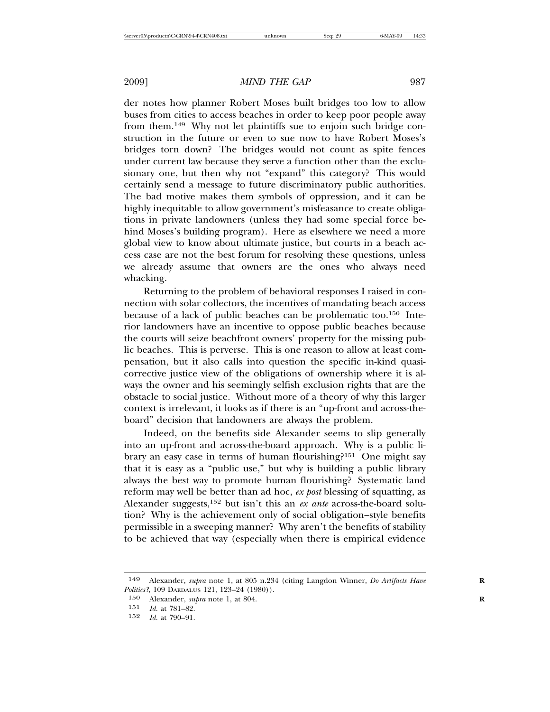der notes how planner Robert Moses built bridges too low to allow buses from cities to access beaches in order to keep poor people away from them.149 Why not let plaintiffs sue to enjoin such bridge construction in the future or even to sue now to have Robert Moses's bridges torn down? The bridges would not count as spite fences under current law because they serve a function other than the exclusionary one, but then why not "expand" this category? This would certainly send a message to future discriminatory public authorities. The bad motive makes them symbols of oppression, and it can be highly inequitable to allow government's misfeasance to create obligations in private landowners (unless they had some special force behind Moses's building program). Here as elsewhere we need a more global view to know about ultimate justice, but courts in a beach access case are not the best forum for resolving these questions, unless we already assume that owners are the ones who always need whacking.

Returning to the problem of behavioral responses I raised in connection with solar collectors, the incentives of mandating beach access because of a lack of public beaches can be problematic too.150 Interior landowners have an incentive to oppose public beaches because the courts will seize beachfront owners' property for the missing public beaches. This is perverse. This is one reason to allow at least compensation, but it also calls into question the specific in-kind quasicorrective justice view of the obligations of ownership where it is always the owner and his seemingly selfish exclusion rights that are the obstacle to social justice. Without more of a theory of why this larger context is irrelevant, it looks as if there is an "up-front and across-theboard" decision that landowners are always the problem.

Indeed, on the benefits side Alexander seems to slip generally into an up-front and across-the-board approach. Why is a public library an easy case in terms of human flourishing?151 One might say that it is easy as a "public use," but why is building a public library always the best way to promote human flourishing? Systematic land reform may well be better than ad hoc, *ex post* blessing of squatting, as Alexander suggests,152 but isn't this an *ex ante* across-the-board solution? Why is the achievement only of social obligation–style benefits permissible in a sweeping manner? Why aren't the benefits of stability to be achieved that way (especially when there is empirical evidence

<sup>149</sup> Alexander, *supra* note 1, at 805 n.234 (citing Langdon Winner, *Do Artifacts Have* **R** *Politics?*, 109 DAEDALUS 121, 123–24 (1980)).

<sup>150</sup> Alexander, *supra* note 1, at 804. **R**

<sup>151</sup> *Id.* at 781–82.

<sup>152</sup> *Id.* at 790–91.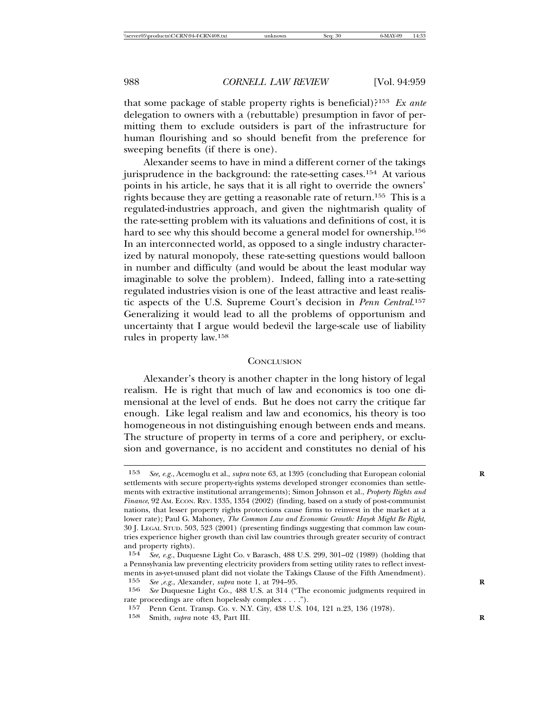that some package of stable property rights is beneficial)?153 *Ex ante* delegation to owners with a (rebuttable) presumption in favor of permitting them to exclude outsiders is part of the infrastructure for human flourishing and so should benefit from the preference for sweeping benefits (if there is one).

Alexander seems to have in mind a different corner of the takings jurisprudence in the background: the rate-setting cases.154 At various points in his article, he says that it is all right to override the owners' rights because they are getting a reasonable rate of return.155 This is a regulated-industries approach, and given the nightmarish quality of the rate-setting problem with its valuations and definitions of cost, it is hard to see why this should become a general model for ownership.<sup>156</sup> In an interconnected world, as opposed to a single industry characterized by natural monopoly, these rate-setting questions would balloon in number and difficulty (and would be about the least modular way imaginable to solve the problem). Indeed, falling into a rate-setting regulated industries vision is one of the least attractive and least realistic aspects of the U.S. Supreme Court's decision in *Penn Central*. 157 Generalizing it would lead to all the problems of opportunism and uncertainty that I argue would bedevil the large-scale use of liability rules in property law.158

#### **CONCLUSION**

Alexander's theory is another chapter in the long history of legal realism. He is right that much of law and economics is too one dimensional at the level of ends. But he does not carry the critique far enough. Like legal realism and law and economics, his theory is too homogeneous in not distinguishing enough between ends and means. The structure of property in terms of a core and periphery, or exclusion and governance, is no accident and constitutes no denial of his

<sup>153</sup> *See, e.g.*, Acemoglu et al., *supra* note 63, at 1395 (concluding that European colonial **R** settlements with secure property-rights systems developed stronger economies than settlements with extractive institutional arrangements); Simon Johnson et al., *Property Rights and Finance*, 92 AM. ECON. REV. 1335, 1354 (2002) (finding, based on a study of post-communist nations, that lesser property rights protections cause firms to reinvest in the market at a lower rate); Paul G. Mahoney, *The Common Law and Economic Growth: Hayek Might Be Right*, 30 J. LEGAL STUD. 503, 523 (2001) (presenting findings suggesting that common law countries experience higher growth than civil law countries through greater security of contract and property rights).

<sup>154</sup> *See, e.g.*, Duquesne Light Co. v Barasch, 488 U.S. 299, 301–02 (1989) (holding that a Pennsylvania law preventing electricity providers from setting utility rates to reflect investments in as-yet-unused plant did not violate the Takings Clause of the Fifth Amendment). 155 *See ,e.g.*, Alexander, *supra* note 1, at 794–95. **R**

<sup>156</sup> *See* Duquesne Light Co., 488 U.S. at 314 ("The economic judgments required in

rate proceedings are often hopelessly complex . . . .").

<sup>157</sup> Penn Cent. Transp. Co. v. N.Y. City, 438 U.S. 104, 121 n.23, 136 (1978).

<sup>158</sup> Smith, *supra* note 43, Part III.